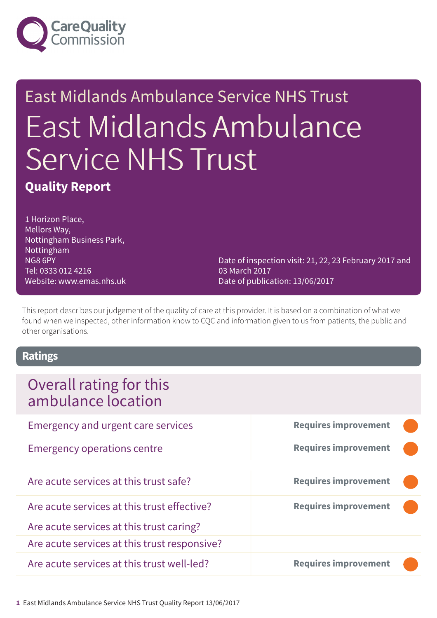

# East Midlands Ambulance Service NHS Trust East Midlands Ambulance Service NHS Trust

### **Quality Report**

1 Horizon Place, Mellors Way, Nottingham Business Park, Nottingham NG8 6PY Tel: 0333 012 4216 Website: www.emas.nhs.uk

Date of inspection visit: 21, 22, 23 February 2017 and 03 March 2017 Date of publication: 13/06/2017

This report describes our judgement of the quality of care at this provider. It is based on a combination of what we found when we inspected, other information know to CQC and information given to us from patients, the public and other organisations.

#### **Ratings**

### Overall rating for this ambulance location

| <b>Emergency and urgent care services</b>    | <b>Requires improvement</b> |
|----------------------------------------------|-----------------------------|
| <b>Emergency operations centre</b>           | <b>Requires improvement</b> |
| Are acute services at this trust safe?       | <b>Requires improvement</b> |
| Are acute services at this trust effective?  | <b>Requires improvement</b> |
| Are acute services at this trust caring?     |                             |
| Are acute services at this trust responsive? |                             |
| Are acute services at this trust well-led?   | <b>Requires improvement</b> |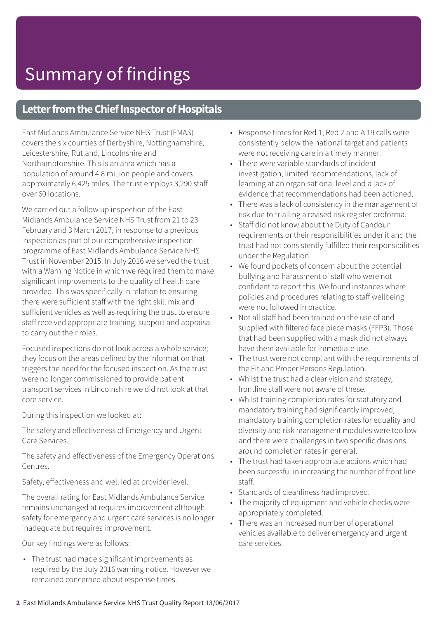### **Letter from the Chief Inspector of Hospitals**

East Midlands Ambulance Service NHS Trust (EMAS) covers the six counties of Derbyshire, Nottinghamshire, Leicestershire, Rutland, Lincolnshire and Northamptonshire. This is an area which has a population of around 4.8 million people and covers approximately 6,425 miles. The trust employs 3,290 staff over 60 locations.

We carried out a follow up inspection of the East Midlands Ambulance Service NHS Trust from 21 to 23 February and 3 March 2017, in response to a previous inspection as part of our comprehensive inspection programme of East Midlands Ambulance Service NHS Trust in November 2015. In July 2016 we served the trust with a Warning Notice in which we required them to make significant improvements to the quality of health care provided. This was specifically in relation to ensuring there were sufficient staff with the right skill mix and sufficient vehicles as well as requiring the trust to ensure staff received appropriate training, support and appraisal to carry out their roles.

Focused inspections do not look across a whole service; they focus on the areas defined by the information that triggers the need for the focused inspection. As the trust were no longer commissioned to provide patient transport services in Lincolnshire we did not look at that core service.

During this inspection we looked at:

The safety and effectiveness of Emergency and Urgent Care Services.

The safety and effectiveness of the Emergency Operations Centres.

Safety, effectiveness and well led at provider level.

The overall rating for East Midlands Ambulance Service remains unchanged at requires improvement although safety for emergency and urgent care services is no longer inadequate but requires improvement.

Our key findings were as follows:

• The trust had made significant improvements as required by the July 2016 warning notice. However we remained concerned about response times.

- Response times for Red 1, Red 2 and A 19 calls were consistently below the national target and patients were not receiving care in a timely manner.
- There were variable standards of incident investigation, limited recommendations, lack of learning at an organisational level and a lack of evidence that recommendations had been actioned.
- There was a lack of consistency in the management of risk due to trialling a revised risk register proforma.
- Staff did not know about the Duty of Candour requirements or their responsibilities under it and the trust had not consistently fulfilled their responsibilities under the Regulation.
- We found pockets of concern about the potential bullying and harassment of staff who were not confident to report this. We found instances where policies and procedures relating to staff wellbeing were not followed in practice.
- Not all staff had been trained on the use of and supplied with filtered face piece masks (FFP3). Those that had been supplied with a mask did not always have them available for immediate use.
- The trust were not compliant with the requirements of the Fit and Proper Persons Regulation.
- Whilst the trust had a clear vision and strategy, frontline staff were not aware of these.
- Whilst training completion rates for statutory and mandatory training had significantly improved, mandatory training completion rates for equality and diversity and risk management modules were too low and there were challenges in two specific divisions around completion rates in general.
- The trust had taken appropriate actions which had been successful in increasing the number of front line staff.
- Standards of cleanliness had improved.
- The majority of equipment and vehicle checks were appropriately completed.
- There was an increased number of operational vehicles available to deliver emergency and urgent care services.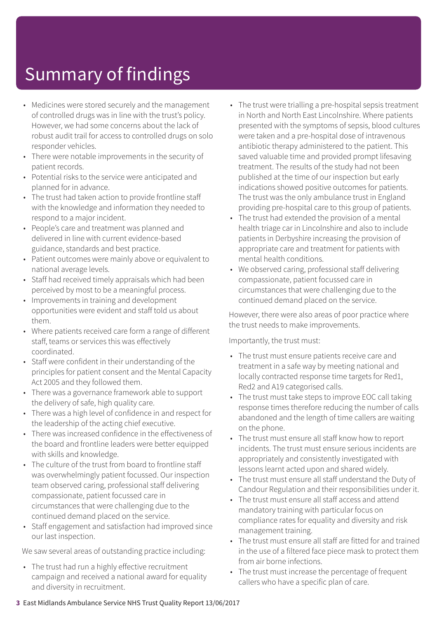# Summary of findings

- Medicines were stored securely and the management of controlled drugs was in line with the trust's policy. However, we had some concerns about the lack of robust audit trail for access to controlled drugs on solo responder vehicles.
- There were notable improvements in the security of patient records.
- Potential risks to the service were anticipated and planned for in advance.
- The trust had taken action to provide frontline staff with the knowledge and information they needed to respond to a major incident.
- People's care and treatment was planned and delivered in line with current evidence-based guidance, standards and best practice.
- Patient outcomes were mainly above or equivalent to national average levels.
- Staff had received timely appraisals which had been perceived by most to be a meaningful process.
- Improvements in training and development opportunities were evident and staff told us about them.
- Where patients received care form a range of different staff, teams or services this was effectively coordinated.
- Staff were confident in their understanding of the principles for patient consent and the Mental Capacity Act 2005 and they followed them.
- There was a governance framework able to support the delivery of safe, high quality care.
- There was a high level of confidence in and respect for the leadership of the acting chief executive.
- There was increased confidence in the effectiveness of the board and frontline leaders were better equipped with skills and knowledge.
- The culture of the trust from board to frontline staff was overwhelmingly patient focussed. Our inspection team observed caring, professional staff delivering compassionate, patient focussed care in circumstances that were challenging due to the continued demand placed on the service.
- Staff engagement and satisfaction had improved since our last inspection.

We saw several areas of outstanding practice including:

• The trust had run a highly effective recruitment campaign and received a national award for equality and diversity in recruitment.

- The trust were trialling a pre-hospital sepsis treatment in North and North East Lincolnshire. Where patients presented with the symptoms of sepsis, blood cultures were taken and a pre-hospital dose of intravenous antibiotic therapy administered to the patient. This saved valuable time and provided prompt lifesaving treatment. The results of the study had not been published at the time of our inspection but early indications showed positive outcomes for patients. The trust was the only ambulance trust in England providing pre-hospital care to this group of patients.
- The trust had extended the provision of a mental health triage car in Lincolnshire and also to include patients in Derbyshire increasing the provision of appropriate care and treatment for patients with mental health conditions.
- We observed caring, professional staff delivering compassionate, patient focussed care in circumstances that were challenging due to the continued demand placed on the service.

However, there were also areas of poor practice where the trust needs to make improvements.

Importantly, the trust must:

- The trust must ensure patients receive care and treatment in a safe way by meeting national and locally contracted response time targets for Red1, Red2 and A19 categorised calls.
- The trust must take steps to improve EOC call taking response times therefore reducing the number of calls abandoned and the length of time callers are waiting on the phone.
- The trust must ensure all staff know how to report incidents. The trust must ensure serious incidents are appropriately and consistently investigated with lessons learnt acted upon and shared widely.
- The trust must ensure all staff understand the Duty of Candour Regulation and their responsibilities under it.
- The trust must ensure all staff access and attend mandatory training with particular focus on compliance rates for equality and diversity and risk management training.
- The trust must ensure all staff are fitted for and trained in the use of a filtered face piece mask to protect them from air borne infections.
- The trust must increase the percentage of frequent callers who have a specific plan of care.

#### **3** East Midlands Ambulance Service NHS Trust Quality Report 13/06/2017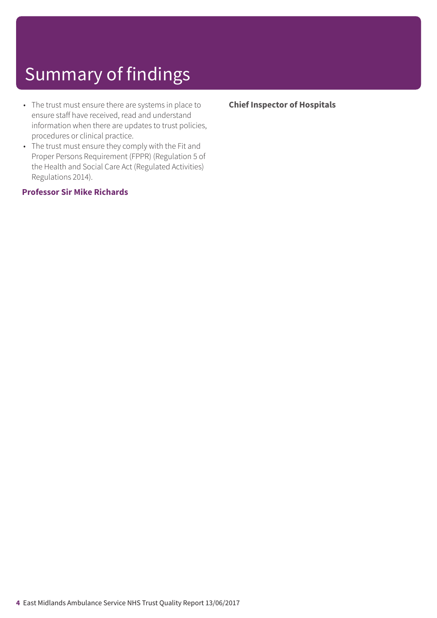# Summary of findings

- The trust must ensure there are systems in place to ensure staff have received, read and understand information when there are updates to trust policies, procedures or clinical practice.
- The trust must ensure they comply with the Fit and Proper Persons Requirement (FPPR) (Regulation 5 of the Health and Social Care Act (Regulated Activities) Regulations 2014).

#### **Professor Sir Mike Richards**

#### **Chief Inspector of Hospitals**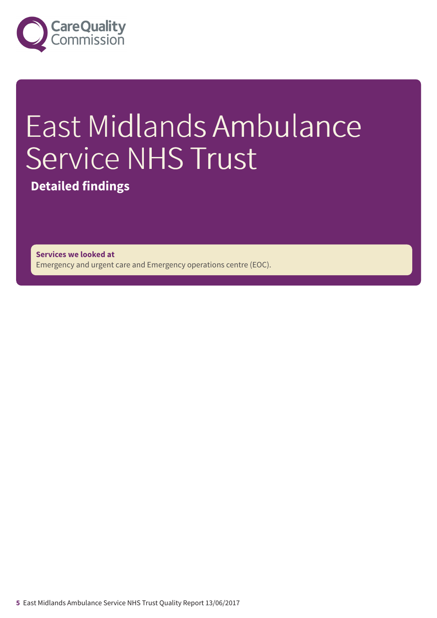

# East Midlands Ambulance Service NHS Trust

**Detailed findings**

**Services we looked at** Emergency and urgent care and Emergency operations centre (EOC).

**5** East Midlands Ambulance Service NHS Trust Quality Report 13/06/2017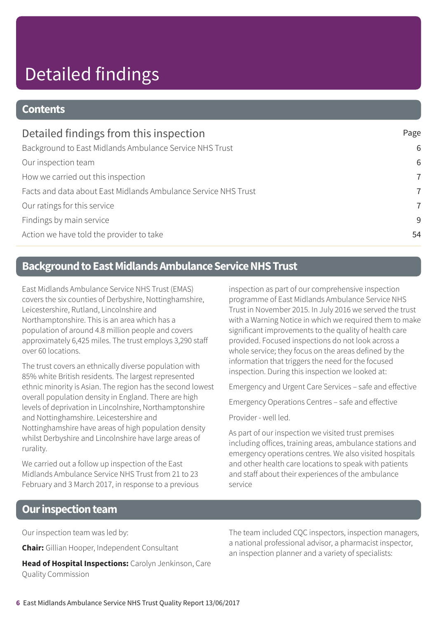# Detailed findings

#### **Contents**

| Detailed findings from this inspection                         | Page           |
|----------------------------------------------------------------|----------------|
| Background to East Midlands Ambulance Service NHS Trust        | 6              |
| Our inspection team                                            | 6              |
| How we carried out this inspection                             | $\overline{7}$ |
| Facts and data about East Midlands Ambulance Service NHS Trust | $\overline{7}$ |
| Our ratings for this service                                   | $\overline{7}$ |
| Findings by main service                                       | 9              |
| Action we have told the provider to take                       | 54             |

### **Background to East Midlands Ambulance Service NHS Trust**

East Midlands Ambulance Service NHS Trust (EMAS) covers the six counties of Derbyshire, Nottinghamshire, Leicestershire, Rutland, Lincolnshire and Northamptonshire. This is an area which has a population of around 4.8 million people and covers approximately 6,425 miles. The trust employs 3,290 staff over 60 locations.

The trust covers an ethnically diverse population with 85% white British residents. The largest represented ethnic minority is Asian. The region has the second lowest overall population density in England. There are high levels of deprivation in Lincolnshire, Northamptonshire and Nottinghamshire. Leicestershire and Nottinghamshire have areas of high population density whilst Derbyshire and Lincolnshire have large areas of rurality.

We carried out a follow up inspection of the East Midlands Ambulance Service NHS Trust from 21 to 23 February and 3 March 2017, in response to a previous inspection as part of our comprehensive inspection programme of East Midlands Ambulance Service NHS Trust in November 2015. In July 2016 we served the trust with a Warning Notice in which we required them to make significant improvements to the quality of health care provided. Focused inspections do not look across a whole service; they focus on the areas defined by the information that triggers the need for the focused inspection. During this inspection we looked at:

Emergency and Urgent Care Services – safe and effective

Emergency Operations Centres – safe and effective

Provider - well led.

As part of our inspection we visited trust premises including offices, training areas, ambulance stations and emergency operations centres. We also visited hospitals and other health care locations to speak with patients and staff about their experiences of the ambulance service

#### **Our inspection team**

Our inspection team was led by:

**Chair:** Gillian Hooper, Independent Consultant

**Head of Hospital Inspections:** Carolyn Jenkinson, Care Quality Commission

The team included CQC inspectors, inspection managers, a national professional advisor, a pharmacist inspector, an inspection planner and a variety of specialists: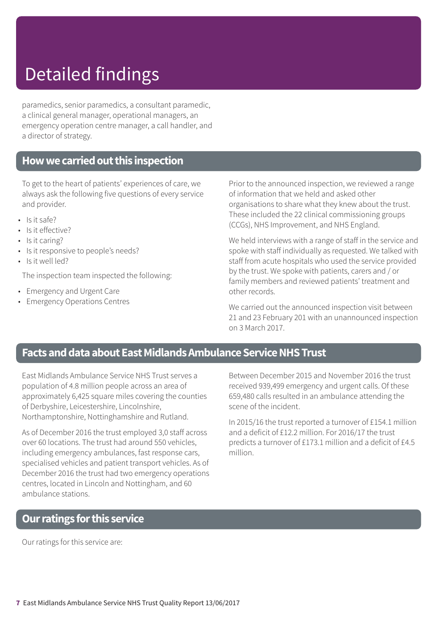# Detailed findings

paramedics, senior paramedics, a consultant paramedic, a clinical general manager, operational managers, an emergency operation centre manager, a call handler, and a director of strategy.

### **Howwecarriedoutthis inspection**

To get to the heart of patients' experiences of care, we always ask the following five questions of every service and provider.

- Is it safe?
- Is it effective?
- Is it caring?
- Is it responsive to people's needs?
- Is it well led?

The inspection team inspected the following:

- Emergency and Urgent Care
- Emergency Operations Centres

Prior to the announced inspection, we reviewed a range of information that we held and asked other organisations to share what they knew about the trust. These included the 22 clinical commissioning groups (CCGs), NHS Improvement, and NHS England.

We held interviews with a range of staff in the service and spoke with staff individually as requested. We talked with staff from acute hospitals who used the service provided by the trust. We spoke with patients, carers and / or family members and reviewed patients' treatment and other records.

We carried out the announced inspection visit between 21 and 23 February 201 with an unannounced inspection on 3 March 2017.

### **Facts and data about East Midlands Ambulance Service NHS Trust**

East Midlands Ambulance Service NHS Trust serves a population of 4.8 million people across an area of approximately 6,425 square miles covering the counties of Derbyshire, Leicestershire, Lincolnshire, Northamptonshire, Nottinghamshire and Rutland.

As of December 2016 the trust employed 3,0 staff across over 60 locations. The trust had around 550 vehicles, including emergency ambulances, fast response cars, specialised vehicles and patient transport vehicles. As of December 2016 the trust had two emergency operations centres, located in Lincoln and Nottingham, and 60 ambulance stations.

Between December 2015 and November 2016 the trust received 939,499 emergency and urgent calls. Of these 659,480 calls resulted in an ambulance attending the scene of the incident.

In 2015/16 the trust reported a turnover of £154.1 million and a deficit of £12.2 million. For 2016/17 the trust predicts a turnover of £173.1 million and a deficit of £4.5 million.

#### **Ourratings forthis service**

Our ratings for this service are: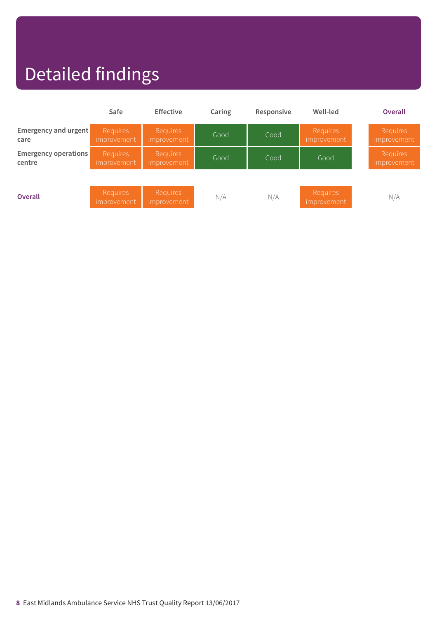# Detailed findings

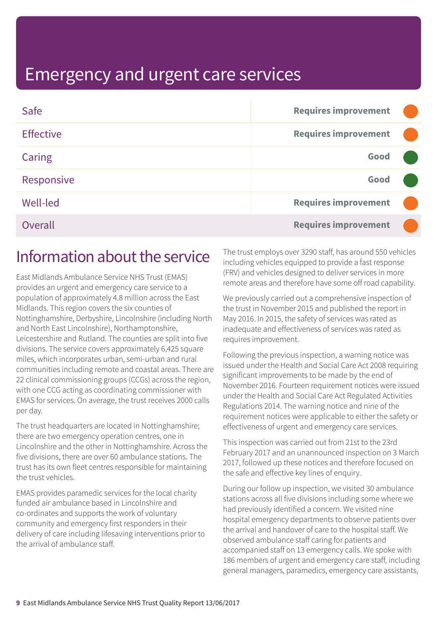| Safe             | <b>Requires improvement</b> |  |
|------------------|-----------------------------|--|
| <b>Effective</b> | <b>Requires improvement</b> |  |
| Caring           | Good                        |  |
| Responsive       | Good                        |  |
| <b>Well-led</b>  | <b>Requires improvement</b> |  |
| Overall          | <b>Requires improvement</b> |  |

### Information about the service

East Midlands Ambulance Service NHS Trust (EMAS) provides an urgent and emergency care service to a population of approximately 4.8 million across the East Midlands. This region covers the six counties of Nottinghamshire, Derbyshire, Lincolnshire (including North and North East Lincolnshire), Northamptonshire, Leicestershire and Rutland. The counties are split into five divisions. The service covers approximately 6,425 square miles, which incorporates urban, semi-urban and rural communities including remote and coastal areas. There are 22 clinical commissioning groups (CCGs) across the region, with one CCG acting as coordinating commissioner with EMAS for services. On average, the trust receives 2000 calls per day.

The trust headquarters are located in Nottinghamshire; there are two emergency operation centres, one in Lincolnshire and the other in Nottinghamshire. Across the five divisions, there are over 60 ambulance stations. The trust has its own fleet centres responsible for maintaining the trust vehicles.

EMAS provides paramedic services for the local charity funded air ambulance based in Lincolnshire and co-ordinates and supports the work of voluntary community and emergency first responders in their delivery of care including lifesaving interventions prior to the arrival of ambulance staff.

The trust employs over 3290 staff, has around 550 vehicles including vehicles equipped to provide a fast response (FRV) and vehicles designed to deliver services in more remote areas and therefore have some off road capability.

We previously carried out a comprehensive inspection of the trust in November 2015 and published the report in May 2016. In 2015, the safety of services was rated as inadequate and effectiveness of services was rated as requires improvement.

Following the previous inspection, a warning notice was issued under the Health and Social Care Act 2008 requiring significant improvements to be made by the end of November 2016. Fourteen requirement notices were issued under the Health and Social Care Act Regulated Activities Regulations 2014. The warning notice and nine of the requirement notices were applicable to either the safety or effectiveness of urgent and emergency care services.

This inspection was carried out from 21st to the 23rd February 2017 and an unannounced inspection on 3 March 2017, followed up these notices and therefore focused on the safe and effective key lines of enquiry.

During our follow up inspection, we visited 30 ambulance stations across all five divisions including some where we had previously identified a concern. We visited nine hospital emergency departments to observe patients over the arrival and handover of care to the hospital staff. We observed ambulance staff caring for patients and accompanied staff on 13 emergency calls. We spoke with 186 members of urgent and emergency care staff, including general managers, paramedics, emergency care assistants,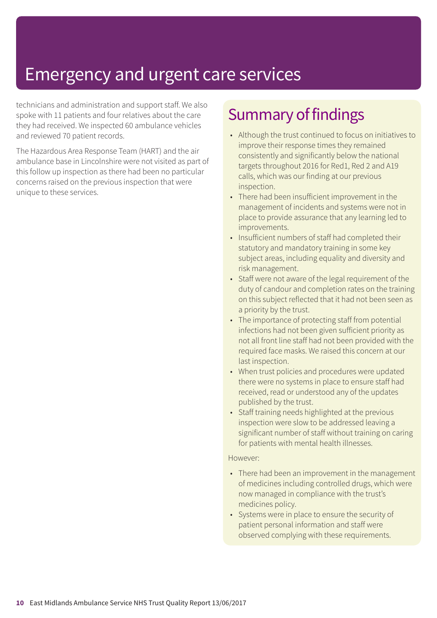technicians and administration and support staff. We also spoke with 11 patients and four relatives about the care they had received. We inspected 60 ambulance vehicles and reviewed 70 patient records.

The Hazardous Area Response Team (HART) and the air ambulance base in Lincolnshire were not visited as part of this follow up inspection as there had been no particular concerns raised on the previous inspection that were unique to these services.

# Summary of findings

- Although the trust continued to focus on initiatives to improve their response times they remained consistently and significantly below the national targets throughout 2016 for Red1, Red 2 and A19 calls, which was our finding at our previous inspection.
- There had been insufficient improvement in the management of incidents and systems were not in place to provide assurance that any learning led to improvements.
- Insufficient numbers of staff had completed their statutory and mandatory training in some key subject areas, including equality and diversity and risk management.
- Staff were not aware of the legal requirement of the duty of candour and completion rates on the training on this subject reflected that it had not been seen as a priority by the trust.
- The importance of protecting staff from potential infections had not been given sufficient priority as not all front line staff had not been provided with the required face masks. We raised this concern at our last inspection.
- When trust policies and procedures were updated there were no systems in place to ensure staff had received, read or understood any of the updates published by the trust.
- Staff training needs highlighted at the previous inspection were slow to be addressed leaving a significant number of staff without training on caring for patients with mental health illnesses.

#### However:

- There had been an improvement in the management of medicines including controlled drugs, which were now managed in compliance with the trust's medicines policy.
- Systems were in place to ensure the security of patient personal information and staff were observed complying with these requirements.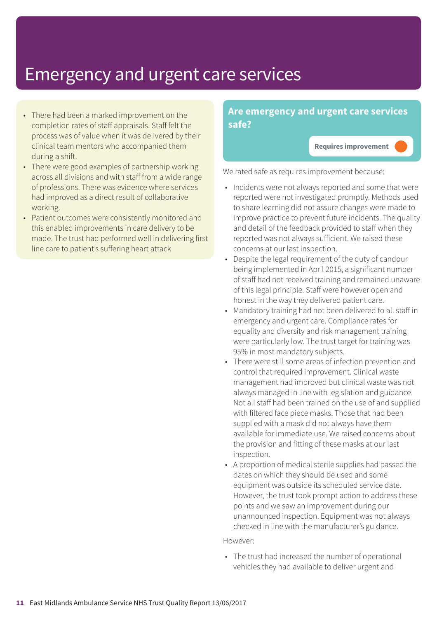- There had been a marked improvement on the completion rates of staff appraisals. Staff felt the process was of value when it was delivered by their clinical team mentors who accompanied them during a shift.
- There were good examples of partnership working across all divisions and with staff from a wide range of professions. There was evidence where services had improved as a direct result of collaborative working.
- Patient outcomes were consistently monitored and this enabled improvements in care delivery to be made. The trust had performed well in delivering first line care to patient's suffering heart attack

#### **Are emergency and urgent care services safe?**

**Requires improvement –––**

We rated safe as requires improvement because:

- Incidents were not always reported and some that were reported were not investigated promptly. Methods used to share learning did not assure changes were made to improve practice to prevent future incidents. The quality and detail of the feedback provided to staff when they reported was not always sufficient. We raised these concerns at our last inspection.
- Despite the legal requirement of the duty of candour being implemented in April 2015, a significant number of staff had not received training and remained unaware of this legal principle. Staff were however open and honest in the way they delivered patient care.
- Mandatory training had not been delivered to all staff in emergency and urgent care. Compliance rates for equality and diversity and risk management training were particularly low. The trust target for training was 95% in most mandatory subjects.
- There were still some areas of infection prevention and control that required improvement. Clinical waste management had improved but clinical waste was not always managed in line with legislation and guidance. Not all staff had been trained on the use of and supplied with filtered face piece masks. Those that had been supplied with a mask did not always have them available for immediate use. We raised concerns about the provision and fitting of these masks at our last inspection.
- A proportion of medical sterile supplies had passed the dates on which they should be used and some equipment was outside its scheduled service date. However, the trust took prompt action to address these points and we saw an improvement during our unannounced inspection. Equipment was not always checked in line with the manufacturer's guidance.

However:

• The trust had increased the number of operational vehicles they had available to deliver urgent and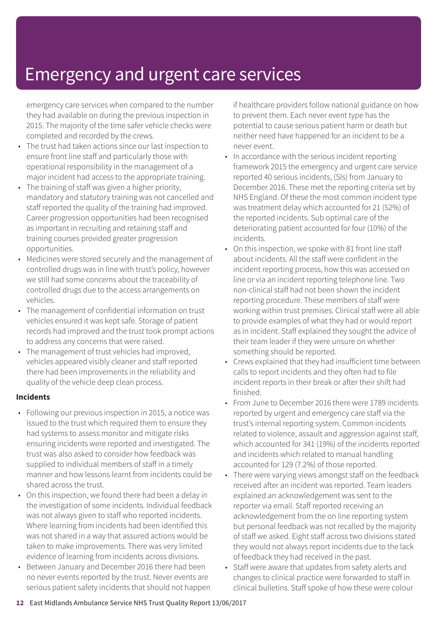emergency care services when compared to the number they had available on during the previous inspection in 2015. The majority of the time safer vehicle checks were completed and recorded by the crews.

- The trust had taken actions since our last inspection to ensure front line staff and particularly those with operational responsibility in the management of a major incident had access to the appropriate training.
- The training of staff was given a higher priority, mandatory and statutory training was not cancelled and staff reported the quality of the training had improved. Career progression opportunities had been recognised as important in recruiting and retaining staff and training courses provided greater progression opportunities.
- Medicines were stored securely and the management of controlled drugs was in line with trust's policy, however we still had some concerns about the traceability of controlled drugs due to the access arrangements on vehicles.
- The management of confidential information on trust vehicles ensured it was kept safe. Storage of patient records had improved and the trust took prompt actions to address any concerns that were raised.
- The management of trust vehicles had improved, vehicles appeared visibly cleaner and staff reported there had been improvements in the reliability and quality of the vehicle deep clean process.

#### **Incidents**

- Following our previous inspection in 2015, a notice was issued to the trust which required them to ensure they had systems to assess monitor and mitigate risks ensuring incidents were reported and investigated. The trust was also asked to consider how feedback was supplied to individual members of staff in a timely manner and how lessons learnt from incidents could be shared across the trust.
- On this inspection, we found there had been a delay in the investigation of some incidents. Individual feedback was not always given to staff who reported incidents. Where learning from incidents had been identified this was not shared in a way that assured actions would be taken to make improvements. There was very limited evidence of learning from incidents across divisions.
- Between January and December 2016 there had been no never events reported by the trust. Never events are serious patient safety incidents that should not happen

if healthcare providers follow national guidance on how to prevent them. Each never event type has the potential to cause serious patient harm or death but neither need have happened for an incident to be a never event.

- In accordance with the serious incident reporting framework 2015 the emergency and urgent care service reported 40 serious incidents, (SIs) from January to December 2016. These met the reporting criteria set by NHS England. Of these the most common incident type was treatment delay which accounted for 21 (52%) of the reported incidents. Sub optimal care of the deteriorating patient accounted for four (10%) of the incidents.
- On this inspection, we spoke with 81 front line staff about incidents. All the staff were confident in the incident reporting process, how this was accessed on line or via an incident reporting telephone line. Two non-clinical staff had not been shown the incident reporting procedure. These members of staff were working within trust premises. Clinical staff were all able to provide examples of what they had or would report as in incident. Staff explained they sought the advice of their team leader if they were unsure on whether something should be reported.
- Crews explained that they had insufficient time between calls to report incidents and they often had to file incident reports in their break or after their shift had finished.
- From June to December 2016 there were 1789 incidents reported by urgent and emergency care staff via the trust's internal reporting system. Common incidents related to violence, assault and aggression against staff, which accounted for 341 (19%) of the incidents reported and incidents which related to manual handling accounted for 129 (7.2%) of those reported.
- There were varying views amongst staff on the feedback received after an incident was reported. Team leaders explained an acknowledgement was sent to the reporter via email. Staff reported receiving an acknowledgement from the on line reporting system but personal feedback was not recalled by the majority of staff we asked. Eight staff across two divisions stated they would not always report incidents due to the lack of feedback they had received in the past.
- Staff were aware that updates from safety alerts and changes to clinical practice were forwarded to staff in clinical bulletins. Staff spoke of how these were colour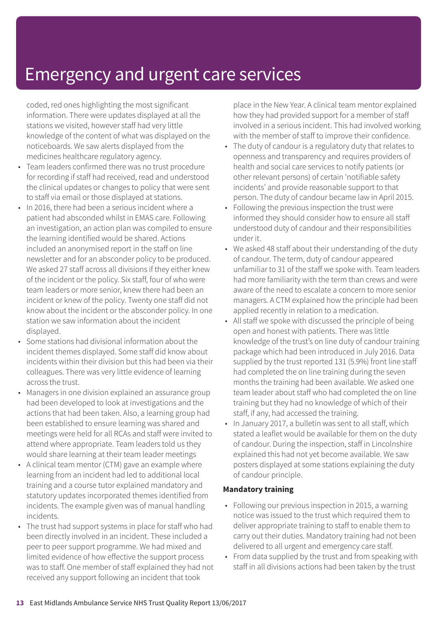coded, red ones highlighting the most significant information. There were updates displayed at all the stations we visited, however staff had very little knowledge of the content of what was displayed on the noticeboards. We saw alerts displayed from the medicines healthcare regulatory agency.

- Team leaders confirmed there was no trust procedure for recording if staff had received, read and understood the clinical updates or changes to policy that were sent to staff via email or those displayed at stations.
- In 2016, there had been a serious incident where a patient had absconded whilst in EMAS care. Following an investigation, an action plan was compiled to ensure the learning identified would be shared. Actions included an anonymised report in the staff on line newsletter and for an absconder policy to be produced. We asked 27 staff across all divisions if they either knew of the incident or the policy. Six staff, four of who were team leaders or more senior, knew there had been an incident or knew of the policy. Twenty one staff did not know about the incident or the absconder policy. In one station we saw information about the incident displayed.
- Some stations had divisional information about the incident themes displayed. Some staff did know about incidents within their division but this had been via their colleagues. There was very little evidence of learning across the trust.
- Managers in one division explained an assurance group had been developed to look at investigations and the actions that had been taken. Also, a learning group had been established to ensure learning was shared and meetings were held for all RCAs and staff were invited to attend where appropriate. Team leaders told us they would share learning at their team leader meetings
- A clinical team mentor (CTM) gave an example where learning from an incident had led to additional local training and a course tutor explained mandatory and statutory updates incorporated themes identified from incidents. The example given was of manual handling incidents.
- The trust had support systems in place for staff who had been directly involved in an incident. These included a peer to peer support programme. We had mixed and limited evidence of how effective the support process was to staff. One member of staff explained they had not received any support following an incident that took

place in the New Year. A clinical team mentor explained how they had provided support for a member of staff involved in a serious incident. This had involved working with the member of staff to improve their confidence.

- The duty of candour is a regulatory duty that relates to openness and transparency and requires providers of health and social care services to notify patients (or other relevant persons) of certain 'notifiable safety incidents' and provide reasonable support to that person. The duty of candour became law in April 2015.
- Following the previous inspection the trust were informed they should consider how to ensure all staff understood duty of candour and their responsibilities under it.
- We asked 48 staff about their understanding of the duty of candour. The term, duty of candour appeared unfamiliar to 31 of the staff we spoke with. Team leaders had more familiarity with the term than crews and were aware of the need to escalate a concern to more senior managers. A CTM explained how the principle had been applied recently in relation to a medication.
- All staff we spoke with discussed the principle of being open and honest with patients. There was little knowledge of the trust's on line duty of candour training package which had been introduced in July 2016. Data supplied by the trust reported 131 (5.9%) front line staff had completed the on line training during the seven months the training had been available. We asked one team leader about staff who had completed the on line training but they had no knowledge of which of their staff, if any, had accessed the training.
- In January 2017, a bulletin was sent to all staff, which stated a leaflet would be available for them on the duty of candour. During the inspection, staff in Lincolnshire explained this had not yet become available. We saw posters displayed at some stations explaining the duty of candour principle.

#### **Mandatory training**

- Following our previous inspection in 2015, a warning notice was issued to the trust which required them to deliver appropriate training to staff to enable them to carry out their duties. Mandatory training had not been delivered to all urgent and emergency care staff.
- From data supplied by the trust and from speaking with staff in all divisions actions had been taken by the trust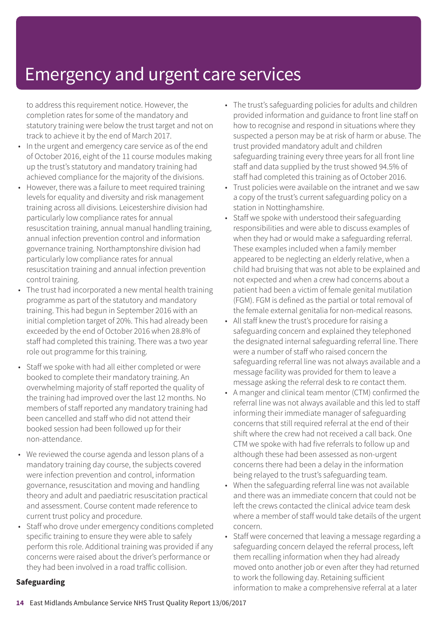to address this requirement notice. However, the completion rates for some of the mandatory and statutory training were below the trust target and not on track to achieve it by the end of March 2017.

- In the urgent and emergency care service as of the end of October 2016, eight of the 11 course modules making up the trust's statutory and mandatory training had achieved compliance for the majority of the divisions.
- However, there was a failure to meet required training levels for equality and diversity and risk management training across all divisions. Leicestershire division had particularly low compliance rates for annual resuscitation training, annual manual handling training, annual infection prevention control and information governance training. Northamptonshire division had particularly low compliance rates for annual resuscitation training and annual infection prevention control training.
- The trust had incorporated a new mental health training programme as part of the statutory and mandatory training. This had begun in September 2016 with an initial completion target of 20%. This had already been exceeded by the end of October 2016 when 28.8% of staff had completed this training. There was a two year role out programme for this training.
- Staff we spoke with had all either completed or were booked to complete their mandatory training. An overwhelming majority of staff reported the quality of the training had improved over the last 12 months. No members of staff reported any mandatory training had been cancelled and staff who did not attend their booked session had been followed up for their non-attendance.
- We reviewed the course agenda and lesson plans of a mandatory training day course, the subjects covered were infection prevention and control, information governance, resuscitation and moving and handling theory and adult and paediatric resuscitation practical and assessment. Course content made reference to current trust policy and procedure.
- Staff who drove under emergency conditions completed specific training to ensure they were able to safely perform this role. Additional training was provided if any concerns were raised about the driver's performance or they had been involved in a road traffic collision.
- The trust's safeguarding policies for adults and children provided information and guidance to front line staff on how to recognise and respond in situations where they suspected a person may be at risk of harm or abuse. The trust provided mandatory adult and children safeguarding training every three years for all front line staff and data supplied by the trust showed 94.5% of staff had completed this training as of October 2016.
- Trust policies were available on the intranet and we saw a copy of the trust's current safeguarding policy on a station in Nottinghamshire.
- Staff we spoke with understood their safeguarding responsibilities and were able to discuss examples of when they had or would make a safeguarding referral. These examples included when a family member appeared to be neglecting an elderly relative, when a child had bruising that was not able to be explained and not expected and when a crew had concerns about a patient had been a victim of female genital mutilation (FGM). FGM is defined as the partial or total removal of the female external genitalia for non-medical reasons.
- All staff knew the trust's procedure for raising a safeguarding concern and explained they telephoned the designated internal safeguarding referral line. There were a number of staff who raised concern the safeguarding referral line was not always available and a message facility was provided for them to leave a message asking the referral desk to re contact them.
- A manger and clinical team mentor (CTM) confirmed the referral line was not always available and this led to staff informing their immediate manager of safeguarding concerns that still required referral at the end of their shift where the crew had not received a call back. One CTM we spoke with had five referrals to follow up and although these had been assessed as non-urgent concerns there had been a delay in the information being relayed to the trust's safeguarding team.
- When the safeguarding referral line was not available and there was an immediate concern that could not be left the crews contacted the clinical advice team desk where a member of staff would take details of the urgent concern.
- Staff were concerned that leaving a message regarding a safeguarding concern delayed the referral process, left them recalling information when they had already moved onto another job or even after they had returned to work the following day. Retaining sufficient information to make a comprehensive referral at a later

#### **Safeguarding**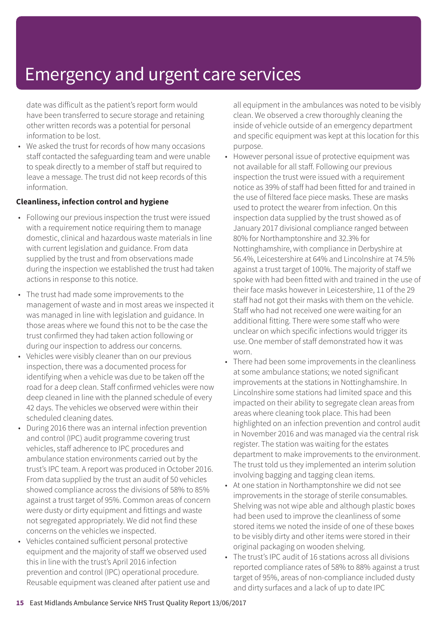date was difficult as the patient's report form would have been transferred to secure storage and retaining other written records was a potential for personal information to be lost.

• We asked the trust for records of how many occasions staff contacted the safeguarding team and were unable to speak directly to a member of staff but required to leave a message. The trust did not keep records of this information.

#### **Cleanliness, infection control and hygiene**

- Following our previous inspection the trust were issued with a requirement notice requiring them to manage domestic, clinical and hazardous waste materials in line with current legislation and guidance. From data supplied by the trust and from observations made during the inspection we established the trust had taken actions in response to this notice.
- The trust had made some improvements to the management of waste and in most areas we inspected it was managed in line with legislation and guidance. In those areas where we found this not to be the case the trust confirmed they had taken action following or during our inspection to address our concerns.
- Vehicles were visibly cleaner than on our previous inspection, there was a documented process for identifying when a vehicle was due to be taken off the road for a deep clean. Staff confirmed vehicles were now deep cleaned in line with the planned schedule of every 42 days. The vehicles we observed were within their scheduled cleaning dates.
- During 2016 there was an internal infection prevention and control (IPC) audit programme covering trust vehicles, staff adherence to IPC procedures and ambulance station environments carried out by the trust's IPC team. A report was produced in October 2016. From data supplied by the trust an audit of 50 vehicles showed compliance across the divisions of 58% to 85% against a trust target of 95%. Common areas of concern were dusty or dirty equipment and fittings and waste not segregated appropriately. We did not find these concerns on the vehicles we inspected.
- Vehicles contained sufficient personal protective equipment and the majority of staff we observed used this in line with the trust's April 2016 infection prevention and control (IPC) operational procedure. Reusable equipment was cleaned after patient use and

all equipment in the ambulances was noted to be visibly clean. We observed a crew thoroughly cleaning the inside of vehicle outside of an emergency department and specific equipment was kept at this location for this purpose.

- However personal issue of protective equipment was not available for all staff. Following our previous inspection the trust were issued with a requirement notice as 39% of staff had been fitted for and trained in the use of filtered face piece masks. These are masks used to protect the wearer from infection. On this inspection data supplied by the trust showed as of January 2017 divisional compliance ranged between 80% for Northamptonshire and 32.3% for Nottinghamshire, with compliance in Derbyshire at 56.4%, Leicestershire at 64% and Lincolnshire at 74.5% against a trust target of 100%. The majority of staff we spoke with had been fitted with and trained in the use of their face masks however in Leicestershire, 11 of the 29 staff had not got their masks with them on the vehicle. Staff who had not received one were waiting for an additional fitting. There were some staff who were unclear on which specific infections would trigger its use. One member of staff demonstrated how it was worn.
- There had been some improvements in the cleanliness at some ambulance stations; we noted significant improvements at the stations in Nottinghamshire. In Lincolnshire some stations had limited space and this impacted on their ability to segregate clean areas from areas where cleaning took place. This had been highlighted on an infection prevention and control audit in November 2016 and was managed via the central risk register. The station was waiting for the estates department to make improvements to the environment. The trust told us they implemented an interim solution involving bagging and tagging clean items.
- At one station in Northamptonshire we did not see improvements in the storage of sterile consumables. Shelving was not wipe able and although plastic boxes had been used to improve the cleanliness of some stored items we noted the inside of one of these boxes to be visibly dirty and other items were stored in their original packaging on wooden shelving.
- The trust's IPC audit of 16 stations across all divisions reported compliance rates of 58% to 88% against a trust target of 95%, areas of non-compliance included dusty and dirty surfaces and a lack of up to date IPC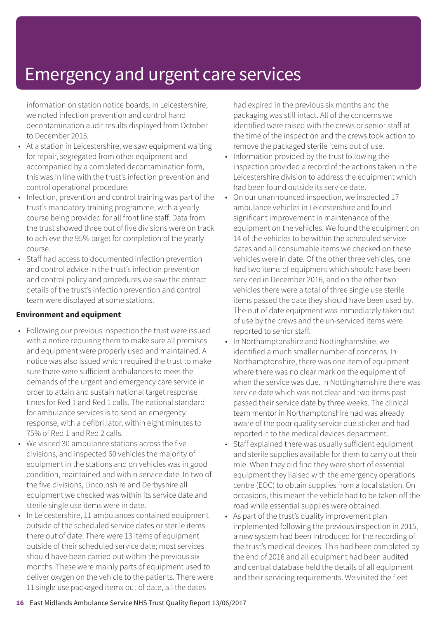information on station notice boards. In Leicestershire, we noted infection prevention and control hand decontamination audit results displayed from October to December 2015.

- At a station in Leicestershire, we saw equipment waiting for repair, segregated from other equipment and accompanied by a completed decontamination form, this was in line with the trust's infection prevention and control operational procedure.
- Infection, prevention and control training was part of the trust's mandatory training programme, with a yearly course being provided for all front line staff. Data from the trust showed three out of five divisions were on track to achieve the 95% target for completion of the yearly course.
- Staff had access to documented infection prevention and control advice in the trust's infection prevention and control policy and procedures we saw the contact details of the trust's infection prevention and control team were displayed at some stations.

#### **Environment and equipment**

- Following our previous inspection the trust were issued with a notice requiring them to make sure all premises and equipment were properly used and maintained. A notice was also issued which required the trust to make sure there were sufficient ambulances to meet the demands of the urgent and emergency care service in order to attain and sustain national target response times for Red 1 and Red 1 calls. The national standard for ambulance services is to send an emergency response, with a defibrillator, within eight minutes to 75% of Red 1 and Red 2 calls.
- We visited 30 ambulance stations across the five divisions, and inspected 60 vehicles the majority of equipment in the stations and on vehicles was in good condition, maintained and within service date. In two of the five divisions, Lincolnshire and Derbyshire all equipment we checked was within its service date and sterile single use items were in date.
- In Leicestershire, 11 ambulances contained equipment outside of the scheduled service dates or sterile items there out of date. There were 13 items of equipment outside of their scheduled service date; most services should have been carried out within the previous six months. These were mainly parts of equipment used to deliver oxygen on the vehicle to the patients. There were 11 single use packaged items out of date, all the dates

had expired in the previous six months and the packaging was still intact. All of the concerns we identified were raised with the crews or senior staff at the time of the inspection and the crews took action to remove the packaged sterile items out of use.

- Information provided by the trust following the inspection provided a record of the actions taken in the Leicestershire division to address the equipment which had been found outside its service date.
- On our unannounced inspection, we inspected 17 ambulance vehicles in Leicestershire and found significant improvement in maintenance of the equipment on the vehicles. We found the equipment on 14 of the vehicles to be within the scheduled service dates and all consumable items we checked on these vehicles were in date. Of the other three vehicles, one had two items of equipment which should have been serviced in December 2016, and on the other two vehicles there were a total of three single use sterile items passed the date they should have been used by. The out of date equipment was immediately taken out of use by the crews and the un-serviced items were reported to senior staff.
- In Northamptonshire and Nottinghamshire, we identified a much smaller number of concerns. In Northamptonshire, there was one item of equipment where there was no clear mark on the equipment of when the service was due. In Nottinghamshire there was service date which was not clear and two items past passed their service date by three weeks. The clinical team mentor in Northamptonshire had was already aware of the poor quality service due sticker and had reported it to the medical devices department.
- Staff explained there was usually sufficient equipment and sterile supplies available for them to carry out their role. When they did find they were short of essential equipment they liaised with the emergency operations centre (EOC) to obtain supplies from a local station. On occasions, this meant the vehicle had to be taken off the road while essential supplies were obtained.
- As part of the trust's quality improvement plan implemented following the previous inspection in 2015, a new system had been introduced for the recording of the trust's medical devices. This had been completed by the end of 2016 and all equipment had been audited and central database held the details of all equipment and their servicing requirements. We visited the fleet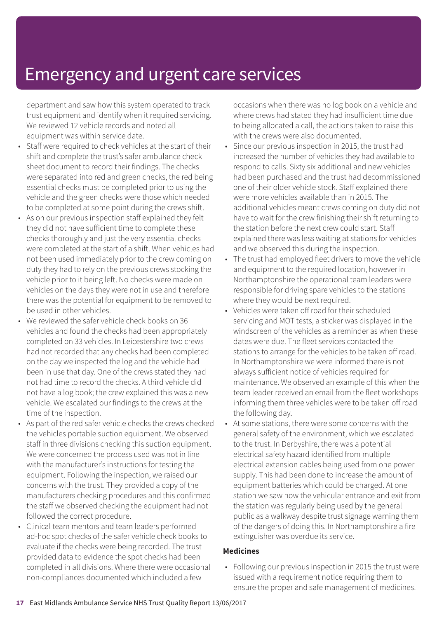department and saw how this system operated to track trust equipment and identify when it required servicing. We reviewed 12 vehicle records and noted all equipment was within service date.

- Staff were required to check vehicles at the start of their shift and complete the trust's safer ambulance check sheet document to record their findings. The checks were separated into red and green checks, the red being essential checks must be completed prior to using the vehicle and the green checks were those which needed to be completed at some point during the crews shift.
- As on our previous inspection staff explained they felt they did not have sufficient time to complete these checks thoroughly and just the very essential checks were completed at the start of a shift. When vehicles had not been used immediately prior to the crew coming on duty they had to rely on the previous crews stocking the vehicle prior to it being left. No checks were made on vehicles on the days they were not in use and therefore there was the potential for equipment to be removed to be used in other vehicles.
- We reviewed the safer vehicle check books on 36 vehicles and found the checks had been appropriately completed on 33 vehicles. In Leicestershire two crews had not recorded that any checks had been completed on the day we inspected the log and the vehicle had been in use that day. One of the crews stated they had not had time to record the checks. A third vehicle did not have a log book; the crew explained this was a new vehicle. We escalated our findings to the crews at the time of the inspection.
- As part of the red safer vehicle checks the crews checked the vehicles portable suction equipment. We observed staff in three divisions checking this suction equipment. We were concerned the process used was not in line with the manufacturer's instructions for testing the equipment. Following the inspection, we raised our concerns with the trust. They provided a copy of the manufacturers checking procedures and this confirmed the staff we observed checking the equipment had not followed the correct procedure.
- Clinical team mentors and team leaders performed ad-hoc spot checks of the safer vehicle check books to evaluate if the checks were being recorded. The trust provided data to evidence the spot checks had been completed in all divisions. Where there were occasional non-compliances documented which included a few

occasions when there was no log book on a vehicle and where crews had stated they had insufficient time due to being allocated a call, the actions taken to raise this with the crews were also documented.

- Since our previous inspection in 2015, the trust had increased the number of vehicles they had available to respond to calls. Sixty six additional and new vehicles had been purchased and the trust had decommissioned one of their older vehicle stock. Staff explained there were more vehicles available than in 2015. The additional vehicles meant crews coming on duty did not have to wait for the crew finishing their shift returning to the station before the next crew could start. Staff explained there was less waiting at stations for vehicles and we observed this during the inspection.
- The trust had employed fleet drivers to move the vehicle and equipment to the required location, however in Northamptonshire the operational team leaders were responsible for driving spare vehicles to the stations where they would be next required.
- Vehicles were taken off road for their scheduled servicing and MOT tests, a sticker was displayed in the windscreen of the vehicles as a reminder as when these dates were due. The fleet services contacted the stations to arrange for the vehicles to be taken off road. In Northamptonshire we were informed there is not always sufficient notice of vehicles required for maintenance. We observed an example of this when the team leader received an email from the fleet workshops informing them three vehicles were to be taken off road the following day.
- At some stations, there were some concerns with the general safety of the environment, which we escalated to the trust. In Derbyshire, there was a potential electrical safety hazard identified from multiple electrical extension cables being used from one power supply. This had been done to increase the amount of equipment batteries which could be charged. At one station we saw how the vehicular entrance and exit from the station was regularly being used by the general public as a walkway despite trust signage warning them of the dangers of doing this. In Northamptonshire a fire extinguisher was overdue its service.

#### **Medicines**

• Following our previous inspection in 2015 the trust were issued with a requirement notice requiring them to ensure the proper and safe management of medicines.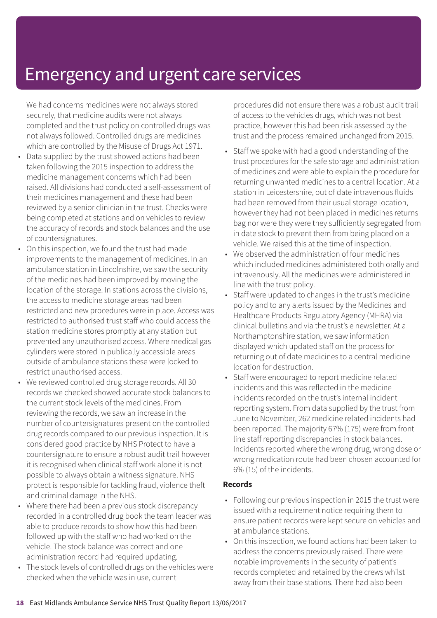We had concerns medicines were not always stored securely, that medicine audits were not always completed and the trust policy on controlled drugs was not always followed. Controlled drugs are medicines which are controlled by the Misuse of Drugs Act 1971.

- Data supplied by the trust showed actions had been taken following the 2015 inspection to address the medicine management concerns which had been raised. All divisions had conducted a self-assessment of their medicines management and these had been reviewed by a senior clinician in the trust. Checks were being completed at stations and on vehicles to review the accuracy of records and stock balances and the use of countersignatures.
- On this inspection, we found the trust had made improvements to the management of medicines. In an ambulance station in Lincolnshire, we saw the security of the medicines had been improved by moving the location of the storage. In stations across the divisions, the access to medicine storage areas had been restricted and new procedures were in place. Access was restricted to authorised trust staff who could access the station medicine stores promptly at any station but prevented any unauthorised access. Where medical gas cylinders were stored in publically accessible areas outside of ambulance stations these were locked to restrict unauthorised access.
- We reviewed controlled drug storage records. All 30 records we checked showed accurate stock balances to the current stock levels of the medicines. From reviewing the records, we saw an increase in the number of countersignatures present on the controlled drug records compared to our previous inspection. It is considered good practice by NHS Protect to have a countersignature to ensure a robust audit trail however it is recognised when clinical staff work alone it is not possible to always obtain a witness signature. NHS protect is responsible for tackling fraud, violence theft and criminal damage in the NHS.
- Where there had been a previous stock discrepancy recorded in a controlled drug book the team leader was able to produce records to show how this had been followed up with the staff who had worked on the vehicle. The stock balance was correct and one administration record had required updating.
- The stock levels of controlled drugs on the vehicles were checked when the vehicle was in use, current

procedures did not ensure there was a robust audit trail of access to the vehicles drugs, which was not best practice, however this had been risk assessed by the trust and the process remained unchanged from 2015.

- Staff we spoke with had a good understanding of the trust procedures for the safe storage and administration of medicines and were able to explain the procedure for returning unwanted medicines to a central location. At a station in Leicestershire, out of date intravenous fluids had been removed from their usual storage location, however they had not been placed in medicines returns bag nor were they were they sufficiently segregated from in date stock to prevent them from being placed on a vehicle. We raised this at the time of inspection.
- We observed the administration of four medicines which included medicines administered both orally and intravenously. All the medicines were administered in line with the trust policy.
- Staff were updated to changes in the trust's medicine policy and to any alerts issued by the Medicines and Healthcare Products Regulatory Agency (MHRA) via clinical bulletins and via the trust's e newsletter. At a Northamptonshire station, we saw information displayed which updated staff on the process for returning out of date medicines to a central medicine location for destruction.
- Staff were encouraged to report medicine related incidents and this was reflected in the medicine incidents recorded on the trust's internal incident reporting system. From data supplied by the trust from June to November, 262 medicine related incidents had been reported. The majority 67% (175) were from front line staff reporting discrepancies in stock balances. Incidents reported where the wrong drug, wrong dose or wrong medication route had been chosen accounted for 6% (15) of the incidents.

#### **Records**

- Following our previous inspection in 2015 the trust were issued with a requirement notice requiring them to ensure patient records were kept secure on vehicles and at ambulance stations.
- On this inspection, we found actions had been taken to address the concerns previously raised. There were notable improvements in the security of patient's records completed and retained by the crews whilst away from their base stations. There had also been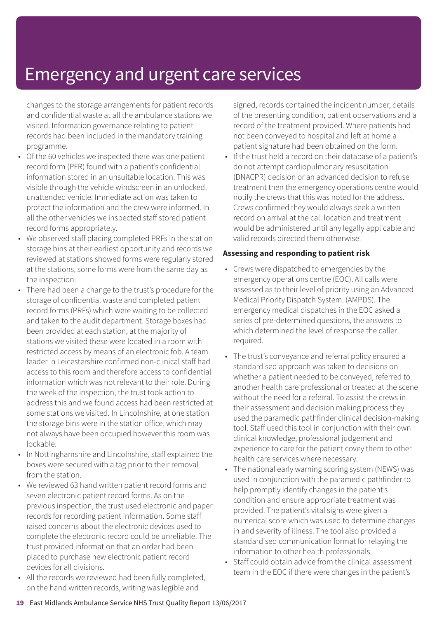changes to the storage arrangements for patient records and confidential waste at all the ambulance stations we visited. Information governance relating to patient records had been included in the mandatory training programme.

- Of the 60 vehicles we inspected there was one patient record form (PFR) found with a patient's confidential information stored in an unsuitable location. This was visible through the vehicle windscreen in an unlocked, unattended vehicle. Immediate action was taken to protect the information and the crew were informed. In all the other vehicles we inspected staff stored patient record forms appropriately.
- We observed staff placing completed PRFs in the station storage bins at their earliest opportunity and records we reviewed at stations showed forms were regularly stored at the stations, some forms were from the same day as the inspection.
- There had been a change to the trust's procedure for the storage of confidential waste and completed patient record forms (PRFs) which were waiting to be collected and taken to the audit department. Storage boxes had been provided at each station, at the majority of stations we visited these were located in a room with restricted access by means of an electronic fob. A team leader in Leicestershire confirmed non-clinical staff had access to this room and therefore access to confidential information which was not relevant to their role. During the week of the inspection, the trust took action to address this and we found access had been restricted at some stations we visited. In Lincolnshire, at one station the storage bins were in the station office, which may not always have been occupied however this room was lockable.
- In Nottinghamshire and Lincolnshire, staff explained the boxes were secured with a tag prior to their removal from the station.
- We reviewed 63 hand written patient record forms and seven electronic patient record forms. As on the previous inspection, the trust used electronic and paper records for recording patient information. Some staff raised concerns about the electronic devices used to complete the electronic record could be unreliable. The trust provided information that an order had been placed to purchase new electronic patient record devices for all divisions.
- All the records we reviewed had been fully completed, on the hand written records, writing was legible and

signed, records contained the incident number, details of the presenting condition, patient observations and a record of the treatment provided. Where patients had not been conveyed to hospital and left at home a patient signature had been obtained on the form.

• If the trust held a record on their database of a patient's do not attempt cardiopulmonary resuscitation (DNACPR) decision or an advanced decision to refuse treatment then the emergency operations centre would notify the crews that this was noted for the address. Crews confirmed they would always seek a written record on arrival at the call location and treatment would be administered until any legally applicable and valid records directed them otherwise.

#### **Assessing and responding to patient risk**

- Crews were dispatched to emergencies by the emergency operations centre (EOC). All calls were assessed as to their level of priority using an Advanced Medical Priority Dispatch System. (AMPDS). The emergency medical dispatches in the EOC asked a series of pre-determined questions, the answers to which determined the level of response the caller required.
- The trust's conveyance and referral policy ensured a standardised approach was taken to decisions on whether a patient needed to be conveyed, referred to another health care professional or treated at the scene without the need for a referral. To assist the crews in their assessment and decision making process they used the paramedic pathfinder clinical decision-making tool. Staff used this tool in conjunction with their own clinical knowledge, professional judgement and experience to care for the patient covey them to other health care services where necessary.
- The national early warning scoring system (NEWS) was used in conjunction with the paramedic pathfinder to help promptly identify changes in the patient's condition and ensure appropriate treatment was provided. The patient's vital signs were given a numerical score which was used to determine changes in and severity of illness. The tool also provided a standardised communication format for relaying the information to other health professionals.
- Staff could obtain advice from the clinical assessment team in the EOC if there were changes in the patient's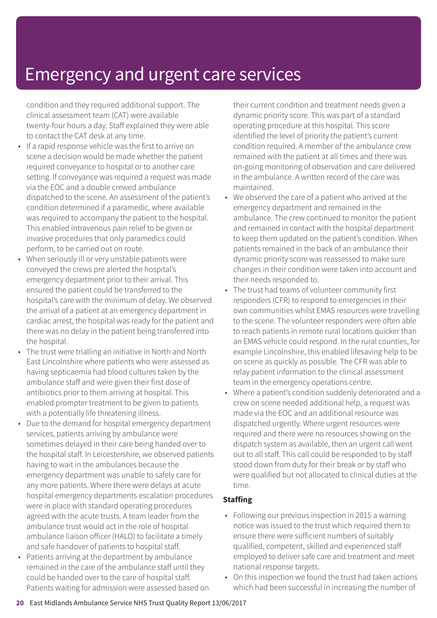condition and they required additional support. The clinical assessment team (CAT) were available twenty-four hours a day. Staff explained they were able to contact the CAT desk at any time.

- If a rapid response vehicle was the first to arrive on scene a decision would be made whether the patient required conveyance to hospital or to another care setting. If conveyance was required a request was made via the EOC and a double crewed ambulance dispatched to the scene. An assessment of the patient's condition determined if a paramedic, where available was required to accompany the patient to the hospital. This enabled intravenous pain relief to be given or invasive procedures that only paramedics could perform, to be carried out on route.
- When seriously ill or very unstable patients were conveyed the crews pre alerted the hospital's emergency department prior to their arrival. This ensured the patient could be transferred to the hospital's care with the minimum of delay. We observed the arrival of a patient at an emergency department in cardiac arrest, the hospital was ready for the patient and there was no delay in the patient being transferred into the hospital.
- The trust were trialling an initiative in North and North East Lincolnshire where patients who were assessed as having septicaemia had blood cultures taken by the ambulance staff and were given their first dose of antibiotics prior to them arriving at hospital. This enabled prompter treatment to be given to patients with a potentially life threatening illness.
- Due to the demand for hospital emergency department services, patients arriving by ambulance were sometimes delayed in their care being handed over to the hospital staff. In Leicestershire, we observed patients having to wait in the ambulances because the emergency department was unable to safely care for any more patients. Where there were delays at acute hospital emergency departments escalation procedures were in place with standard operating procedures agreed with the acute trusts. A team leader from the ambulance trust would act in the role of hospital ambulance liaison officer (HALO) to facilitate a timely and safe handover of patients to hospital staff.
- Patients arriving at the department by ambulance remained in the care of the ambulance staff until they could be handed over to the care of hospital staff. Patients waiting for admission were assessed based on

their current condition and treatment needs given a dynamic priority score. This was part of a standard operating procedure at this hospital. This score identified the level of priority the patient's current condition required. A member of the ambulance crew remained with the patient at all times and there was on-going monitoring of observation and care delivered in the ambulance. A written record of the care was maintained.

- We observed the care of a patient who arrived at the emergency department and remained in the ambulance. The crew continued to monitor the patient and remained in contact with the hospital department to keep them updated on the patient's condition. When patients remained in the back of an ambulance their dynamic priority score was reassessed to make sure changes in their condition were taken into account and their needs responded to.
- The trust had teams of volunteer community first responders (CFR) to respond to emergencies in their own communities whilst EMAS resources were travelling to the scene. The volunteer responders were often able to reach patients in remote rural locations quicker than an EMAS vehicle could respond. In the rural counties, for example Lincolnshire, this enabled lifesaving help to be on scene as quickly as possible. The CFR was able to relay patient information to the clinical assessment team in the emergency operations centre.
- Where a patient's condition suddenly deteriorated and a crew on scene needed additional help, a request was made via the EOC and an additional resource was dispatched urgently. Where urgent resources were required and there were no resources showing on the dispatch system as available, then an urgent call went out to all staff. This call could be responded to by staff stood down from duty for their break or by staff who were qualified but not allocated to clinical duties at the time.

#### **Staffing**

- Following our previous inspection in 2015 a warning notice was issued to the trust which required them to ensure there were sufficient numbers of suitably qualified, competent, skilled and experienced staff employed to deliver safe care and treatment and meet national response targets.
- On this inspection we found the trust had taken actions which had been successful in increasing the number of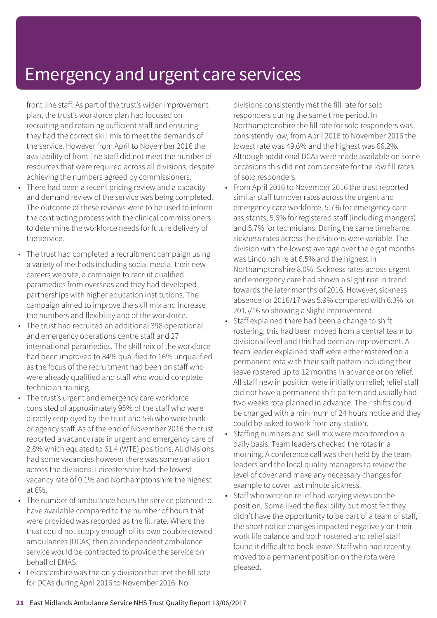front line staff. As part of the trust's wider improvement plan, the trust's workforce plan had focused on recruiting and retaining sufficient staff and ensuring they had the correct skill mix to meet the demands of the service. However from April to November 2016 the availability of front line staff did not meet the number of resources that were required across all divisions, despite achieving the numbers agreed by commissioners.

- There had been a recent pricing review and a capacity and demand review of the service was being completed. The outcome of these reviews were to be used to inform the contracting process with the clinical commissioners to determine the workforce needs for future delivery of the service.
- The trust had completed a recruitment campaign using a variety of methods including social media, their new careers website, a campaign to recruit qualified paramedics from overseas and they had developed partnerships with higher education institutions. The campaign aimed to improve the skill mix and increase the numbers and flexibility and of the workforce.
- The trust had recruited an additional 398 operational and emergency operations centre staff and 27 international paramedics. The skill mix of the workforce had been improved to 84% qualified to 16% unqualified as the focus of the recruitment had been on staff who were already qualified and staff who would complete technician training.
- The trust's urgent and emergency care workforce consisted of approximately 95% of the staff who were directly employed by the trust and 5% who were bank or agency staff. As of the end of November 2016 the trust reported a vacancy rate in urgent and emergency care of 2.8% which equated to 61.4 (WTE) positions. All divisions had some vacancies however there was some variation across the divisions. Leicestershire had the lowest vacancy rate of 0.1% and Northamptonshire the highest at 6%.
- The number of ambulance hours the service planned to have available compared to the number of hours that were provided was recorded as the fill rate. Where the trust could not supply enough of its own double crewed ambulances (DCAs) then an independent ambulance service would be contracted to provide the service on behalf of EMAS.
- Leicestershire was the only division that met the fill rate for DCAs during April 2016 to November 2016. No

divisions consistently met the fill rate for solo responders during the same time period. In Northamptonshire the fill rate for solo responders was consistently low, from April 2016 to November 2016 the lowest rate was 49.6% and the highest was 66.2%. Although additional DCAs were made available on some occasions this did not compensate for the low fill rates of solo responders.

- From April 2016 to November 2016 the trust reported similar staff turnover rates across the urgent and emergency care workforce, 5.7% for emergency care assistants, 5.6% for registered staff (including mangers) and 5.7% for technicians. During the same timeframe sickness rates across the divisions were variable. The division with the lowest average over the eight months was Lincolnshire at 6.5% and the highest in Northamptonshire 8.0%. Sickness rates across urgent and emergency care had shown a slight rise in trend towards the later months of 2016. However, sickness absence for 2016/17 was 5.9% compared with 6.3% for 2015/16 so showing a slight improvement.
- Staff explained there had been a change to shift rostering, this had been moved from a central team to divisional level and this had been an improvement. A team leader explained staff were either rostered on a permanent rota with their shift pattern including their leave rostered up to 12 months in advance or on relief. All staff new in position were initially on relief; relief staff did not have a permanent shift pattern and usually had two weeks rota planned in advance. Their shifts could be changed with a minimum of 24 hours notice and they could be asked to work from any station.
- Staffing numbers and skill mix were monitored on a daily basis. Team leaders checked the rotas in a morning. A conference call was then held by the team leaders and the local quality managers to review the level of cover and make any necessary changes for example to cover last minute sickness.
- Staff who were on relief had varying views on the position. Some liked the flexibility but most felt they didn't have the opportunity to be part of a team of staff, the short notice changes impacted negatively on their work life balance and both rostered and relief staff found it difficult to book leave. Staff who had recently moved to a permanent position on the rota were pleased.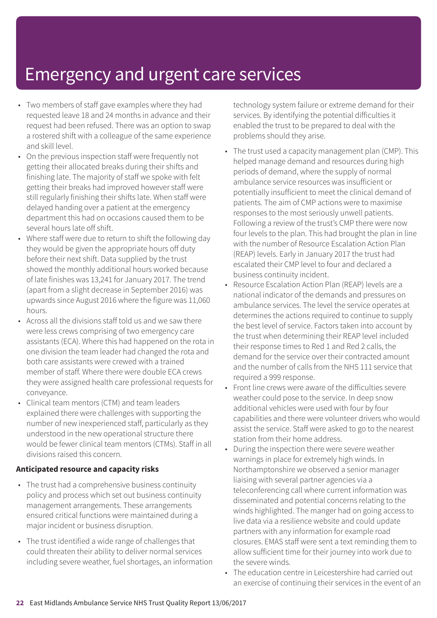- Two members of staff gave examples where they had requested leave 18 and 24 months in advance and their request had been refused. There was an option to swap a rostered shift with a colleague of the same experience and skill level.
- On the previous inspection staff were frequently not getting their allocated breaks during their shifts and finishing late. The majority of staff we spoke with felt getting their breaks had improved however staff were still regularly finishing their shifts late. When staff were delayed handing over a patient at the emergency department this had on occasions caused them to be several hours late off shift.
- Where staff were due to return to shift the following day they would be given the appropriate hours off duty before their next shift. Data supplied by the trust showed the monthly additional hours worked because of late finishes was 13,241 for January 2017. The trend (apart from a slight decrease in September 2016) was upwards since August 2016 where the figure was 11,060 hours.
- Across all the divisions staff told us and we saw there were less crews comprising of two emergency care assistants (ECA). Where this had happened on the rota in one division the team leader had changed the rota and both care assistants were crewed with a trained member of staff. Where there were double ECA crews they were assigned health care professional requests for conveyance.
- Clinical team mentors (CTM) and team leaders explained there were challenges with supporting the number of new inexperienced staff, particularly as they understood in the new operational structure there would be fewer clinical team mentors (CTMs). Staff in all divisions raised this concern.

#### **Anticipated resource and capacity risks**

- The trust had a comprehensive business continuity policy and process which set out business continuity management arrangements. These arrangements ensured critical functions were maintained during a major incident or business disruption.
- The trust identified a wide range of challenges that could threaten their ability to deliver normal services including severe weather, fuel shortages, an information

technology system failure or extreme demand for their services. By identifying the potential difficulties it enabled the trust to be prepared to deal with the problems should they arise.

- The trust used a capacity management plan (CMP). This helped manage demand and resources during high periods of demand, where the supply of normal ambulance service resources was insufficient or potentially insufficient to meet the clinical demand of patients. The aim of CMP actions were to maximise responses to the most seriously unwell patients. Following a review of the trust's CMP there were now four levels to the plan. This had brought the plan in line with the number of Resource Escalation Action Plan (REAP) levels. Early in January 2017 the trust had escalated their CMP level to four and declared a business continuity incident.
- Resource Escalation Action Plan (REAP) levels are a national indicator of the demands and pressures on ambulance services. The level the service operates at determines the actions required to continue to supply the best level of service. Factors taken into account by the trust when determining their REAP level included their response times to Red 1 and Red 2 calls, the demand for the service over their contracted amount and the number of calls from the NHS 111 service that required a 999 response.
- Front line crews were aware of the difficulties severe weather could pose to the service. In deep snow additional vehicles were used with four by four capabilities and there were volunteer drivers who would assist the service. Staff were asked to go to the nearest station from their home address.
- During the inspection there were severe weather warnings in place for extremely high winds. In Northamptonshire we observed a senior manager liaising with several partner agencies via a teleconferencing call where current information was disseminated and potential concerns relating to the winds highlighted. The manger had on going access to live data via a resilience website and could update partners with any information for example road closures. EMAS staff were sent a text reminding them to allow sufficient time for their journey into work due to the severe winds.
- The education centre in Leicestershire had carried out an exercise of continuing their services in the event of an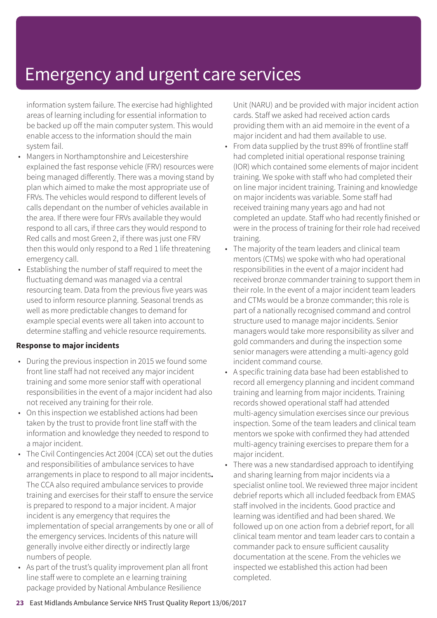information system failure. The exercise had highlighted areas of learning including for essential information to be backed up off the main computer system. This would enable access to the information should the main system fail.

- Mangers in Northamptonshire and Leicestershire explained the fast response vehicle (FRV) resources were being managed differently. There was a moving stand by plan which aimed to make the most appropriate use of FRVs. The vehicles would respond to different levels of calls dependant on the number of vehicles available in the area. If there were four FRVs available they would respond to all cars, if three cars they would respond to Red calls and most Green 2, if there was just one FRV then this would only respond to a Red 1 life threatening emergency call.
- Establishing the number of staff required to meet the fluctuating demand was managed via a central resourcing team. Data from the previous five years was used to inform resource planning. Seasonal trends as well as more predictable changes to demand for example special events were all taken into account to determine staffing and vehicle resource requirements.

#### **Response to major incidents**

- During the previous inspection in 2015 we found some front line staff had not received any major incident training and some more senior staff with operational responsibilities in the event of a major incident had also not received any training for their role.
- On this inspection we established actions had been taken by the trust to provide front line staff with the information and knowledge they needed to respond to a major incident.
- The Civil Contingencies Act 2004 (CCA) set out the duties and responsibilities of ambulance services to have arrangements in place to respond to all major incidents**.** The CCA also required ambulance services to provide training and exercises for their staff to ensure the service is prepared to respond to a major incident. A major incident is any emergency that requires the implementation of special arrangements by one or all of the emergency services. Incidents of this nature will generally involve either directly or indirectly large numbers of people.
- As part of the trust's quality improvement plan all front line staff were to complete an e learning training package provided by National Ambulance Resilience

Unit (NARU) and be provided with major incident action cards. Staff we asked had received action cards providing them with an aid memoire in the event of a major incident and had them available to use.

- From data supplied by the trust 89% of frontline staff had completed initial operational response training (IOR) which contained some elements of major incident training. We spoke with staff who had completed their on line major incident training. Training and knowledge on major incidents was variable. Some staff had received training many years ago and had not completed an update. Staff who had recently finished or were in the process of training for their role had received training.
- The majority of the team leaders and clinical team mentors (CTMs) we spoke with who had operational responsibilities in the event of a major incident had received bronze commander training to support them in their role. In the event of a major incident team leaders and CTMs would be a bronze commander; this role is part of a nationally recognised command and control structure used to manage major incidents. Senior managers would take more responsibility as silver and gold commanders and during the inspection some senior managers were attending a multi-agency gold incident command course.
- A specific training data base had been established to record all emergency planning and incident command training and learning from major incidents. Training records showed operational staff had attended multi-agency simulation exercises since our previous inspection. Some of the team leaders and clinical team mentors we spoke with confirmed they had attended multi-agency training exercises to prepare them for a major incident.
- There was a new standardised approach to identifying and sharing learning from major incidents via a specialist online tool. We reviewed three major incident debrief reports which all included feedback from EMAS staff involved in the incidents. Good practice and learning was identified and had been shared. We followed up on one action from a debrief report, for all clinical team mentor and team leader cars to contain a commander pack to ensure sufficient causality documentation at the scene. From the vehicles we inspected we established this action had been completed.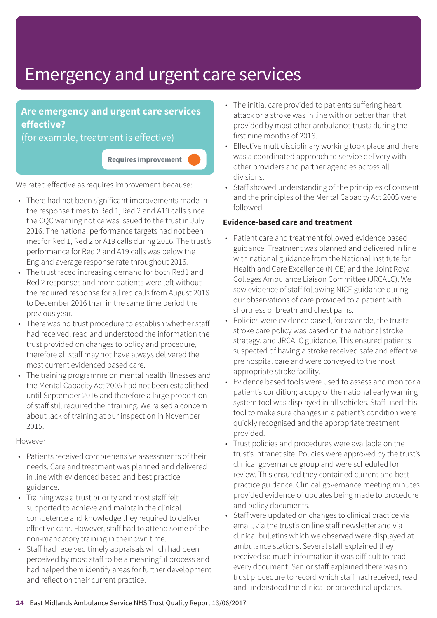### **Are emergency and urgent care services effective?**

(for example, treatment is effective)

**Requires improvement –––**

We rated effective as requires improvement because:

- There had not been significant improvements made in the response times to Red 1, Red 2 and A19 calls since the CQC warning notice was issued to the trust in July 2016. The national performance targets had not been met for Red 1, Red 2 or A19 calls during 2016. The trust's performance for Red 2 and A19 calls was below the England average response rate throughout 2016.
- The trust faced increasing demand for both Red1 and Red 2 responses and more patients were left without the required response for all red calls from August 2016 to December 2016 than in the same time period the previous year.
- There was no trust procedure to establish whether staff had received, read and understood the information the trust provided on changes to policy and procedure, therefore all staff may not have always delivered the most current evidenced based care.
- The training programme on mental health illnesses and the Mental Capacity Act 2005 had not been established until September 2016 and therefore a large proportion of staff still required their training. We raised a concern about lack of training at our inspection in November 2015.

#### However

- Patients received comprehensive assessments of their needs. Care and treatment was planned and delivered in line with evidenced based and best practice guidance.
- Training was a trust priority and most staff felt supported to achieve and maintain the clinical competence and knowledge they required to deliver effective care. However, staff had to attend some of the non-mandatory training in their own time.
- Staff had received timely appraisals which had been perceived by most staff to be a meaningful process and had helped them identify areas for further development and reflect on their current practice.
- The initial care provided to patients suffering heart attack or a stroke was in line with or better than that provided by most other ambulance trusts during the first nine months of 2016.
- Effective multidisciplinary working took place and there was a coordinated approach to service delivery with other providers and partner agencies across all divisions.
- Staff showed understanding of the principles of consent and the principles of the Mental Capacity Act 2005 were followed

#### **Evidence-based care and treatment**

- Patient care and treatment followed evidence based guidance. Treatment was planned and delivered in line with national guidance from the National Institute for Health and Care Excellence (NICE) and the Joint Royal Colleges Ambulance Liaison Committee (JRCALC). We saw evidence of staff following NICE guidance during our observations of care provided to a patient with shortness of breath and chest pains.
- Policies were evidence based, for example, the trust's stroke care policy was based on the national stroke strategy, and JRCALC guidance. This ensured patients suspected of having a stroke received safe and effective pre hospital care and were conveyed to the most appropriate stroke facility.
- Evidence based tools were used to assess and monitor a patient's condition; a copy of the national early warning system tool was displayed in all vehicles. Staff used this tool to make sure changes in a patient's condition were quickly recognised and the appropriate treatment provided.
- Trust policies and procedures were available on the trust's intranet site. Policies were approved by the trust's clinical governance group and were scheduled for review. This ensured they contained current and best practice guidance. Clinical governance meeting minutes provided evidence of updates being made to procedure and policy documents.
- Staff were updated on changes to clinical practice via email, via the trust's on line staff newsletter and via clinical bulletins which we observed were displayed at ambulance stations. Several staff explained they received so much information it was difficult to read every document. Senior staff explained there was no trust procedure to record which staff had received, read and understood the clinical or procedural updates.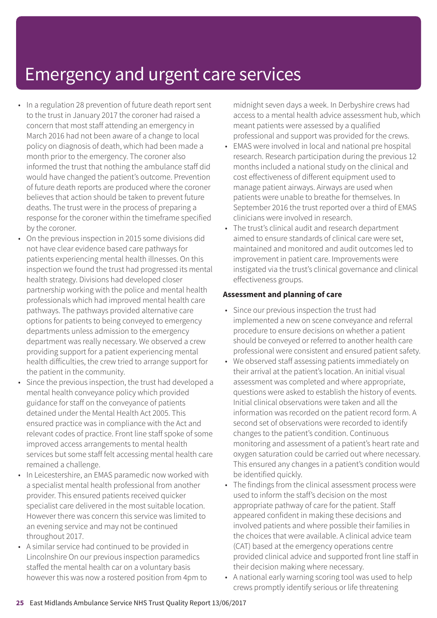- In a regulation 28 prevention of future death report sent to the trust in January 2017 the coroner had raised a concern that most staff attending an emergency in March 2016 had not been aware of a change to local policy on diagnosis of death, which had been made a month prior to the emergency. The coroner also informed the trust that nothing the ambulance staff did would have changed the patient's outcome. Prevention of future death reports are produced where the coroner believes that action should be taken to prevent future deaths. The trust were in the process of preparing a response for the coroner within the timeframe specified by the coroner.
- On the previous inspection in 2015 some divisions did not have clear evidence based care pathways for patients experiencing mental health illnesses. On this inspection we found the trust had progressed its mental health strategy. Divisions had developed closer partnership working with the police and mental health professionals which had improved mental health care pathways. The pathways provided alternative care options for patients to being conveyed to emergency departments unless admission to the emergency department was really necessary. We observed a crew providing support for a patient experiencing mental health difficulties, the crew tried to arrange support for the patient in the community.
- Since the previous inspection, the trust had developed a mental health conveyance policy which provided guidance for staff on the conveyance of patients detained under the Mental Health Act 2005. This ensured practice was in compliance with the Act and relevant codes of practice. Front line staff spoke of some improved access arrangements to mental health services but some staff felt accessing mental health care remained a challenge.
- In Leicestershire, an EMAS paramedic now worked with a specialist mental health professional from another provider. This ensured patients received quicker specialist care delivered in the most suitable location. However there was concern this service was limited to an evening service and may not be continued throughout 2017.
- A similar service had continued to be provided in Lincolnshire On our previous inspection paramedics staffed the mental health car on a voluntary basis however this was now a rostered position from 4pm to

midnight seven days a week. In Derbyshire crews had access to a mental health advice assessment hub, which meant patients were assessed by a qualified professional and support was provided for the crews.

- EMAS were involved in local and national pre hospital research. Research participation during the previous 12 months included a national study on the clinical and cost effectiveness of different equipment used to manage patient airways. Airways are used when patients were unable to breathe for themselves. In September 2016 the trust reported over a third of EMAS clinicians were involved in research.
- The trust's clinical audit and research department aimed to ensure standards of clinical care were set, maintained and monitored and audit outcomes led to improvement in patient care. Improvements were instigated via the trust's clinical governance and clinical effectiveness groups.

#### **Assessment and planning of care**

- Since our previous inspection the trust had implemented a new on scene conveyance and referral procedure to ensure decisions on whether a patient should be conveyed or referred to another health care professional were consistent and ensured patient safety.
- We observed staff assessing patients immediately on their arrival at the patient's location. An initial visual assessment was completed and where appropriate, questions were asked to establish the history of events. Initial clinical observations were taken and all the information was recorded on the patient record form. A second set of observations were recorded to identify changes to the patient's condition. Continuous monitoring and assessment of a patient's heart rate and oxygen saturation could be carried out where necessary. This ensured any changes in a patient's condition would be identified quickly.
- The findings from the clinical assessment process were used to inform the staff's decision on the most appropriate pathway of care for the patient. Staff appeared confident in making these decisions and involved patients and where possible their families in the choices that were available. A clinical advice team (CAT) based at the emergency operations centre provided clinical advice and supported front line staff in their decision making where necessary.
- A national early warning scoring tool was used to help crews promptly identify serious or life threatening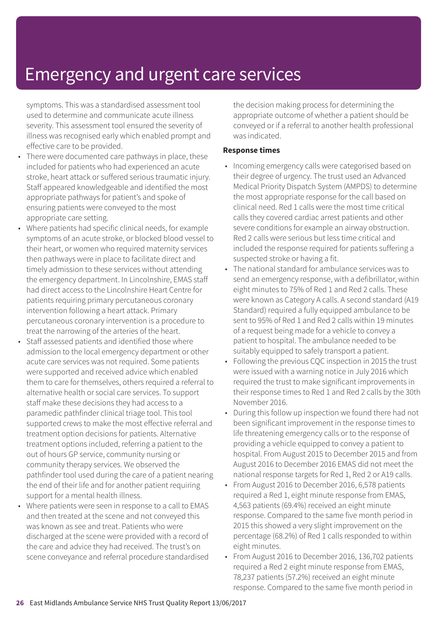symptoms. This was a standardised assessment tool used to determine and communicate acute illness severity. This assessment tool ensured the severity of illness was recognised early which enabled prompt and effective care to be provided.

- There were documented care pathways in place, these included for patients who had experienced an acute stroke, heart attack or suffered serious traumatic injury. Staff appeared knowledgeable and identified the most appropriate pathways for patient's and spoke of ensuring patients were conveyed to the most appropriate care setting.
- Where patients had specific clinical needs, for example symptoms of an acute stroke, or blocked blood vessel to their heart, or women who required maternity services then pathways were in place to facilitate direct and timely admission to these services without attending the emergency department. In Lincolnshire, EMAS staff had direct access to the Lincolnshire Heart Centre for patients requiring primary percutaneous coronary intervention following a heart attack. Primary percutaneous coronary intervention is a procedure to treat the narrowing of the arteries of the heart.
- Staff assessed patients and identified those where admission to the local emergency department or other acute care services was not required. Some patients were supported and received advice which enabled them to care for themselves, others required a referral to alternative health or social care services. To support staff make these decisions they had access to a paramedic pathfinder clinical triage tool. This tool supported crews to make the most effective referral and treatment option decisions for patients. Alternative treatment options included, referring a patient to the out of hours GP service, community nursing or community therapy services. We observed the pathfinder tool used during the care of a patient nearing the end of their life and for another patient requiring support for a mental health illness.
- Where patients were seen in response to a call to EMAS and then treated at the scene and not conveyed this was known as see and treat. Patients who were discharged at the scene were provided with a record of the care and advice they had received. The trust's on scene conveyance and referral procedure standardised

the decision making process for determining the appropriate outcome of whether a patient should be conveyed or if a referral to another health professional was indicated.

#### **Response times**

- Incoming emergency calls were categorised based on their degree of urgency. The trust used an Advanced Medical Priority Dispatch System (AMPDS) to determine the most appropriate response for the call based on clinical need. Red 1 calls were the most time critical calls they covered cardiac arrest patients and other severe conditions for example an airway obstruction. Red 2 calls were serious but less time critical and included the response required for patients suffering a suspected stroke or having a fit.
- The national standard for ambulance services was to send an emergency response, with a defibrillator, within eight minutes to 75% of Red 1 and Red 2 calls. These were known as Category A calls. A second standard (A19 Standard) required a fully equipped ambulance to be sent to 95% of Red 1 and Red 2 calls within 19 minutes of a request being made for a vehicle to convey a patient to hospital. The ambulance needed to be suitably equipped to safely transport a patient.
- Following the previous CQC inspection in 2015 the trust were issued with a warning notice in July 2016 which required the trust to make significant improvements in their response times to Red 1 and Red 2 calls by the 30th November 2016.
- During this follow up inspection we found there had not been significant improvement in the response times to life threatening emergency calls or to the response of providing a vehicle equipped to convey a patient to hospital. From August 2015 to December 2015 and from August 2016 to December 2016 EMAS did not meet the national response targets for Red 1, Red 2 or A19 calls.
- From August 2016 to December 2016, 6,578 patients required a Red 1, eight minute response from EMAS, 4,563 patients (69.4%) received an eight minute response. Compared to the same five month period in 2015 this showed a very slight improvement on the percentage (68.2%) of Red 1 calls responded to within eight minutes.
- From August 2016 to December 2016, 136,702 patients required a Red 2 eight minute response from EMAS, 78,237 patients (57.2%) received an eight minute response. Compared to the same five month period in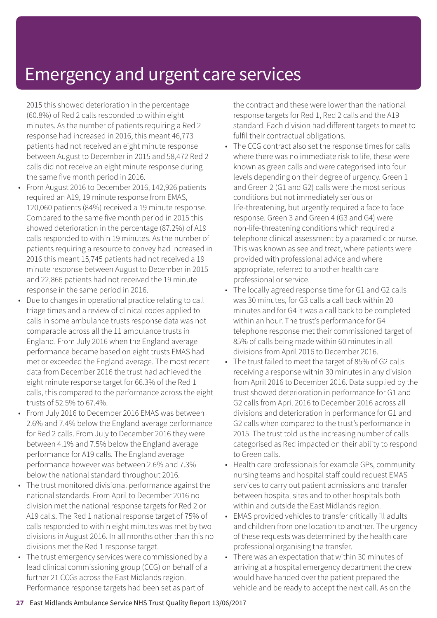2015 this showed deterioration in the percentage (60.8%) of Red 2 calls responded to within eight minutes. As the number of patients requiring a Red 2 response had increased in 2016, this meant 46,773 patients had not received an eight minute response between August to December in 2015 and 58,472 Red 2 calls did not receive an eight minute response during the same five month period in 2016.

- From August 2016 to December 2016, 142,926 patients required an A19, 19 minute response from EMAS, 120,060 patients (84%) received a 19 minute response. Compared to the same five month period in 2015 this showed deterioration in the percentage (87.2%) of A19 calls responded to within 19 minutes. As the number of patients requiring a resource to convey had increased in 2016 this meant 15,745 patients had not received a 19 minute response between August to December in 2015 and 22,866 patients had not received the 19 minute response in the same period in 2016.
- Due to changes in operational practice relating to call triage times and a review of clinical codes applied to calls in some ambulance trusts response data was not comparable across all the 11 ambulance trusts in England. From July 2016 when the England average performance became based on eight trusts EMAS had met or exceeded the England average. The most recent data from December 2016 the trust had achieved the eight minute response target for 66.3% of the Red 1 calls, this compared to the performance across the eight trusts of 52.5% to 67.4%.
- From July 2016 to December 2016 EMAS was between 2.6% and 7.4% below the England average performance for Red 2 calls. From July to December 2016 they were between 4.1% and 7.5% below the England average performance for A19 calls. The England average performance however was between 2.6% and 7.3% below the national standard throughout 2016.
- The trust monitored divisional performance against the national standards. From April to December 2016 no division met the national response targets for Red 2 or A19 calls. The Red 1 national response target of 75% of calls responded to within eight minutes was met by two divisions in August 2016. In all months other than this no divisions met the Red 1 response target.
- The trust emergency services were commissioned by a lead clinical commissioning group (CCG) on behalf of a further 21 CCGs across the East Midlands region. Performance response targets had been set as part of

the contract and these were lower than the national response targets for Red 1, Red 2 calls and the A19 standard. Each division had different targets to meet to fulfil their contractual obligations.

- The CCG contract also set the response times for calls where there was no immediate risk to life, these were known as green calls and were categorised into four levels depending on their degree of urgency. Green 1 and Green 2 (G1 and G2) calls were the most serious conditions but not immediately serious or life-threatening, but urgently required a face to face response. Green 3 and Green 4 (G3 and G4) were non-life-threatening conditions which required a telephone clinical assessment by a paramedic or nurse. This was known as see and treat, where patients were provided with professional advice and where appropriate, referred to another health care professional or service.
- The locally agreed response time for G1 and G2 calls was 30 minutes, for G3 calls a call back within 20 minutes and for G4 it was a call back to be completed within an hour. The trust's performance for G4 telephone response met their commissioned target of 85% of calls being made within 60 minutes in all divisions from April 2016 to December 2016.
- The trust failed to meet the target of 85% of G2 calls receiving a response within 30 minutes in any division from April 2016 to December 2016. Data supplied by the trust showed deterioration in performance for G1 and G2 calls from April 2016 to December 2016 across all divisions and deterioration in performance for G1 and G2 calls when compared to the trust's performance in 2015. The trust told us the increasing number of calls categorised as Red impacted on their ability to respond to Green calls.
- Health care professionals for example GPs, community nursing teams and hospital staff could request EMAS services to carry out patient admissions and transfer between hospital sites and to other hospitals both within and outside the East Midlands region.
- EMAS provided vehicles to transfer critically ill adults and children from one location to another. The urgency of these requests was determined by the health care professional organising the transfer.
- There was an expectation that within 30 minutes of arriving at a hospital emergency department the crew would have handed over the patient prepared the vehicle and be ready to accept the next call. As on the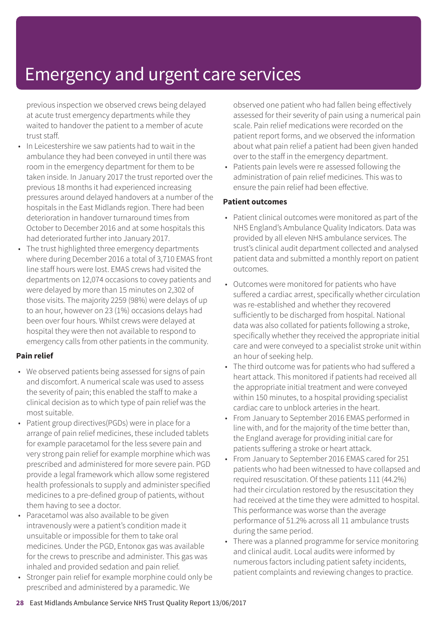previous inspection we observed crews being delayed at acute trust emergency departments while they waited to handover the patient to a member of acute trust staff.

- In Leicestershire we saw patients had to wait in the ambulance they had been conveyed in until there was room in the emergency department for them to be taken inside. In January 2017 the trust reported over the previous 18 months it had experienced increasing pressures around delayed handovers at a number of the hospitals in the East Midlands region. There had been deterioration in handover turnaround times from October to December 2016 and at some hospitals this had deteriorated further into January 2017.
- The trust highlighted three emergency departments where during December 2016 a total of 3,710 EMAS front line staff hours were lost. EMAS crews had visited the departments on 12,074 occasions to covey patients and were delayed by more than 15 minutes on 2,302 of those visits. The majority 2259 (98%) were delays of up to an hour, however on 23 (1%) occasions delays had been over four hours. Whilst crews were delayed at hospital they were then not available to respond to emergency calls from other patients in the community.

#### **Pain relief**

- We observed patients being assessed for signs of pain and discomfort. A numerical scale was used to assess the severity of pain; this enabled the staff to make a clinical decision as to which type of pain relief was the most suitable.
- Patient group directives(PGDs) were in place for a arrange of pain relief medicines, these included tablets for example paracetamol for the less severe pain and very strong pain relief for example morphine which was prescribed and administered for more severe pain. PGD provide a legal framework which allow some registered health professionals to supply and administer specified medicines to a pre-defined group of patients, without them having to see a doctor.
- Paracetamol was also available to be given intravenously were a patient's condition made it unsuitable or impossible for them to take oral medicines. Under the PGD, Entonox gas was available for the crews to prescribe and administer. This gas was inhaled and provided sedation and pain relief.
- Stronger pain relief for example morphine could only be prescribed and administered by a paramedic. We

observed one patient who had fallen being effectively assessed for their severity of pain using a numerical pain scale. Pain relief medications were recorded on the patient report forms, and we observed the information about what pain relief a patient had been given handed over to the staff in the emergency department.

• Patients pain levels were re assessed following the administration of pain relief medicines. This was to ensure the pain relief had been effective.

#### **Patient outcomes**

- Patient clinical outcomes were monitored as part of the NHS England's Ambulance Quality Indicators. Data was provided by all eleven NHS ambulance services. The trust's clinical audit department collected and analysed patient data and submitted a monthly report on patient outcomes.
- Outcomes were monitored for patients who have suffered a cardiac arrest, specifically whether circulation was re-established and whether they recovered sufficiently to be discharged from hospital. National data was also collated for patients following a stroke, specifically whether they received the appropriate initial care and were conveyed to a specialist stroke unit within an hour of seeking help.
- The third outcome was for patients who had suffered a heart attack. This monitored if patients had received all the appropriate initial treatment and were conveyed within 150 minutes, to a hospital providing specialist cardiac care to unblock arteries in the heart.
- From January to September 2016 EMAS performed in line with, and for the majority of the time better than, the England average for providing initial care for patients suffering a stroke or heart attack.
- From January to September 2016 EMAS cared for 251 patients who had been witnessed to have collapsed and required resuscitation. Of these patients 111 (44.2%) had their circulation restored by the resuscitation they had received at the time they were admitted to hospital. This performance was worse than the average performance of 51.2% across all 11 ambulance trusts during the same period.
- There was a planned programme for service monitoring and clinical audit. Local audits were informed by numerous factors including patient safety incidents, patient complaints and reviewing changes to practice.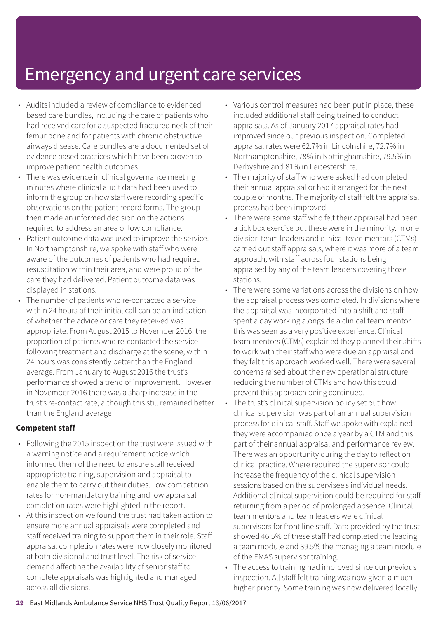- Audits included a review of compliance to evidenced based care bundles, including the care of patients who had received care for a suspected fractured neck of their femur bone and for patients with chronic obstructive airways disease. Care bundles are a documented set of evidence based practices which have been proven to improve patient health outcomes.
- There was evidence in clinical governance meeting minutes where clinical audit data had been used to inform the group on how staff were recording specific observations on the patient record forms. The group then made an informed decision on the actions required to address an area of low compliance.
- Patient outcome data was used to improve the service. In Northamptonshire, we spoke with staff who were aware of the outcomes of patients who had required resuscitation within their area, and were proud of the care they had delivered. Patient outcome data was displayed in stations.
- The number of patients who re-contacted a service within 24 hours of their initial call can be an indication of whether the advice or care they received was appropriate. From August 2015 to November 2016, the proportion of patients who re-contacted the service following treatment and discharge at the scene, within 24 hours was consistently better than the England average. From January to August 2016 the trust's performance showed a trend of improvement. However in November 2016 there was a sharp increase in the trust's re-contact rate, although this still remained better than the England average

#### **Competent staff**

- Following the 2015 inspection the trust were issued with a warning notice and a requirement notice which informed them of the need to ensure staff received appropriate training, supervision and appraisal to enable them to carry out their duties. Low competition rates for non-mandatory training and low appraisal completion rates were highlighted in the report.
- At this inspection we found the trust had taken action to ensure more annual appraisals were completed and staff received training to support them in their role. Staff appraisal completion rates were now closely monitored at both divisional and trust level. The risk of service demand affecting the availability of senior staff to complete appraisals was highlighted and managed across all divisions.
- Various control measures had been put in place, these included additional staff being trained to conduct appraisals. As of January 2017 appraisal rates had improved since our previous inspection. Completed appraisal rates were 62.7% in Lincolnshire, 72.7% in Northamptonshire, 78% in Nottinghamshire, 79.5% in Derbyshire and 81% in Leicestershire.
- The majority of staff who were asked had completed their annual appraisal or had it arranged for the next couple of months. The majority of staff felt the appraisal process had been improved.
- There were some staff who felt their appraisal had been a tick box exercise but these were in the minority. In one division team leaders and clinical team mentors (CTMs) carried out staff appraisals, where it was more of a team approach, with staff across four stations being appraised by any of the team leaders covering those stations.
- There were some variations across the divisions on how the appraisal process was completed. In divisions where the appraisal was incorporated into a shift and staff spent a day working alongside a clinical team mentor this was seen as a very positive experience. Clinical team mentors (CTMs) explained they planned their shifts to work with their staff who were due an appraisal and they felt this approach worked well. There were several concerns raised about the new operational structure reducing the number of CTMs and how this could prevent this approach being continued.
- The trust's clinical supervision policy set out how clinical supervision was part of an annual supervision process for clinical staff. Staff we spoke with explained they were accompanied once a year by a CTM and this part of their annual appraisal and performance review. There was an opportunity during the day to reflect on clinical practice. Where required the supervisor could increase the frequency of the clinical supervision sessions based on the supervisee's individual needs. Additional clinical supervision could be required for staff returning from a period of prolonged absence. Clinical team mentors and team leaders were clinical supervisors for front line staff. Data provided by the trust showed 46.5% of these staff had completed the leading a team module and 39.5% the managing a team module of the EMAS supervisor training.
- The access to training had improved since our previous inspection. All staff felt training was now given a much higher priority. Some training was now delivered locally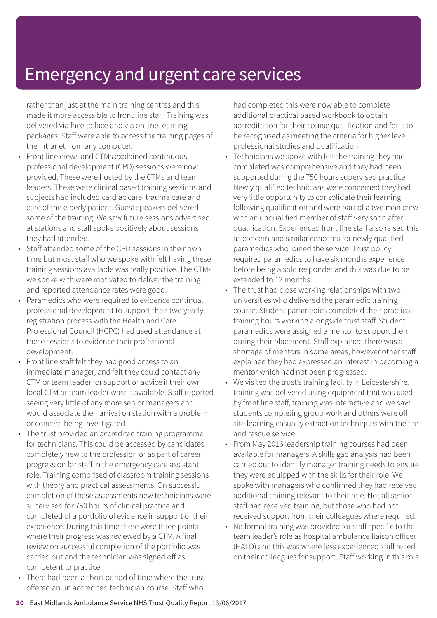rather than just at the main training centres and this made it more accessible to front line staff. Training was delivered via face to face and via on line learning packages. Staff were able to access the training pages of the intranet from any computer.

- Front line crews and CTMs explained continuous professional development (CPD) sessions were now provided. These were hosted by the CTMs and team leaders. These were clinical based training sessions and subjects had included cardiac care, trauma care and care of the elderly patient. Guest speakers delivered some of the training. We saw future sessions advertised at stations and staff spoke positively about sessions they had attended.
- Staff attended some of the CPD sessions in their own time but most staff who we spoke with felt having these training sessions available was really positive. The CTMs we spoke with were motivated to deliver the training and reported attendance rates were good.
- Paramedics who were required to evidence continual professional development to support their two yearly registration process with the Health and Care Professional Council (HCPC) had used attendance at these sessions to evidence their professional development.
- Front line staff felt they had good access to an immediate manager, and felt they could contact any CTM or team leader for support or advice if their own local CTM or team leader wasn't available. Staff reported seeing very little of any more senior managers and would associate their arrival on station with a problem or concern being investigated.
- The trust provided an accredited training programme for technicians. This could be accessed by candidates completely new to the profession or as part of career progression for staff in the emergency care assistant role. Training comprised of classroom training sessions with theory and practical assessments. On successful completion of these assessments new technicians were supervised for 750 hours of clinical practice and completed of a portfolio of evidence in support of their experience. During this time there were three points where their progress was reviewed by a CTM. A final review on successful completion of the portfolio was carried out and the technician was signed off as competent to practice.
- There had been a short period of time where the trust offered an un accredited technician course. Staff who

had completed this were now able to complete additional practical based workbook to obtain accreditation for their course qualification and for it to be recognised as meeting the criteria for higher level professional studies and qualification.

- Technicians we spoke with felt the training they had completed was comprehensive and they had been supported during the 750 hours supervised practice. Newly qualified technicians were concerned they had very little opportunity to consolidate their learning following qualification and were part of a two man crew with an unqualified member of staff very soon after qualification. Experienced front line staff also raised this as concern and similar concerns for newly qualified paramedics who joined the service. Trust policy required paramedics to have six months experience before being a solo responder and this was due to be extended to 12 months.
- The trust had close working relationships with two universities who delivered the paramedic training course. Student paramedics completed their practical training hours working alongside trust staff. Student paramedics were assigned a mentor to support them during their placement. Staff explained there was a shortage of mentors in some areas, however other staff explained they had expressed an interest in becoming a mentor which had not been progressed.
- We visited the trust's training facility in Leicestershire, training was delivered using equipment that was used by front line staff, training was interactive and we saw students completing group work and others were off site learning casualty extraction techniques with the fire and rescue service.
- From May 2016 leadership training courses had been available for managers. A skills gap analysis had been carried out to identify manager training needs to ensure they were equipped with the skills for their role. We spoke with managers who confirmed they had received additional training relevant to their role. Not all senior staff had received training, but those who had not received support from their colleagues where required.
- No formal training was provided for staff specific to the team leader's role as hospital ambulance liaison officer (HALO) and this was where less experienced staff relied on their colleagues for support. Staff working in this role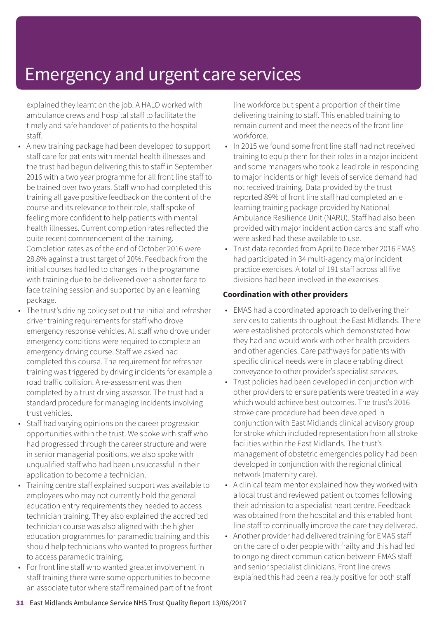explained they learnt on the job. A HALO worked with ambulance crews and hospital staff to facilitate the timely and safe handover of patients to the hospital staff.

- A new training package had been developed to support staff care for patients with mental health illnesses and the trust had begun delivering this to staff in September 2016 with a two year programme for all front line staff to be trained over two years. Staff who had completed this training all gave positive feedback on the content of the course and its relevance to their role, staff spoke of feeling more confident to help patients with mental health illnesses. Current completion rates reflected the quite recent commencement of the training. Completion rates as of the end of October 2016 were 28.8% against a trust target of 20%. Feedback from the initial courses had led to changes in the programme with training due to be delivered over a shorter face to face training session and supported by an e learning package.
- The trust's driving policy set out the initial and refresher driver training requirements for staff who drove emergency response vehicles. All staff who drove under emergency conditions were required to complete an emergency driving course. Staff we asked had completed this course. The requirement for refresher training was triggered by driving incidents for example a road traffic collision. A re-assessment was then completed by a trust driving assessor. The trust had a standard procedure for managing incidents involving trust vehicles.
- Staff had varying opinions on the career progression opportunities within the trust. We spoke with staff who had progressed through the career structure and were in senior managerial positions, we also spoke with unqualified staff who had been unsuccessful in their application to become a technician.
- Training centre staff explained support was available to employees who may not currently hold the general education entry requirements they needed to access technician training. They also explained the accredited technician course was also aligned with the higher education programmes for paramedic training and this should help technicians who wanted to progress further to access paramedic training.
- For front line staff who wanted greater involvement in staff training there were some opportunities to become an associate tutor where staff remained part of the front

line workforce but spent a proportion of their time delivering training to staff. This enabled training to remain current and meet the needs of the front line workforce.

- In 2015 we found some front line staff had not received training to equip them for their roles in a major incident and some managers who took a lead role in responding to major incidents or high levels of service demand had not received training. Data provided by the trust reported 89% of front line staff had completed an e learning training package provided by National Ambulance Resilience Unit (NARU). Staff had also been provided with major incident action cards and staff who were asked had these available to use.
- Trust data recorded from April to December 2016 EMAS had participated in 34 multi-agency major incident practice exercises. A total of 191 staff across all five divisions had been involved in the exercises.

#### **Coordination with other providers**

- EMAS had a coordinated approach to delivering their services to patients throughout the East Midlands. There were established protocols which demonstrated how they had and would work with other health providers and other agencies. Care pathways for patients with specific clinical needs were in place enabling direct conveyance to other provider's specialist services.
- Trust policies had been developed in conjunction with other providers to ensure patients were treated in a way which would achieve best outcomes. The trust's 2016 stroke care procedure had been developed in conjunction with East Midlands clinical advisory group for stroke which included representation from all stroke facilities within the East Midlands. The trust's management of obstetric emergencies policy had been developed in conjunction with the regional clinical network (maternity care).
- A clinical team mentor explained how they worked with a local trust and reviewed patient outcomes following their admission to a specialist heart centre. Feedback was obtained from the hospital and this enabled front line staff to continually improve the care they delivered.
- Another provider had delivered training for EMAS staff on the care of older people with frailty and this had led to ongoing direct communication between EMAS staff and senior specialist clinicians. Front line crews explained this had been a really positive for both staff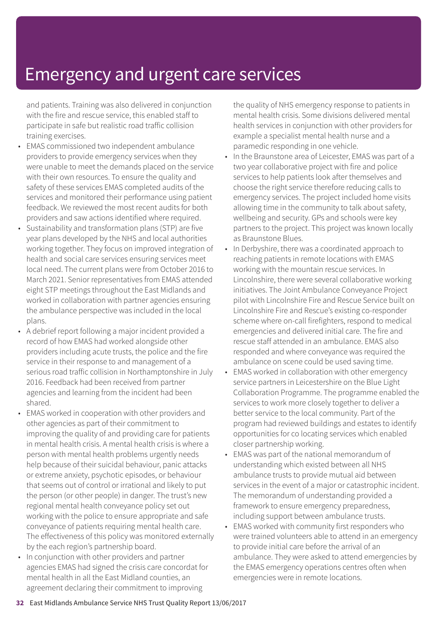and patients. Training was also delivered in conjunction with the fire and rescue service, this enabled staff to participate in safe but realistic road traffic collision training exercises.

- EMAS commissioned two independent ambulance providers to provide emergency services when they were unable to meet the demands placed on the service with their own resources. To ensure the quality and safety of these services EMAS completed audits of the services and monitored their performance using patient feedback. We reviewed the most recent audits for both providers and saw actions identified where required.
- Sustainability and transformation plans (STP) are five year plans developed by the NHS and local authorities working together. They focus on improved integration of health and social care services ensuring services meet local need. The current plans were from October 2016 to March 2021. Senior representatives from EMAS attended eight STP meetings throughout the East Midlands and worked in collaboration with partner agencies ensuring the ambulance perspective was included in the local plans.
- A debrief report following a major incident provided a record of how EMAS had worked alongside other providers including acute trusts, the police and the fire service in their response to and management of a serious road traffic collision in Northamptonshire in July 2016. Feedback had been received from partner agencies and learning from the incident had been shared.
- EMAS worked in cooperation with other providers and other agencies as part of their commitment to improving the quality of and providing care for patients in mental health crisis. A mental health crisis is where a person with mental health problems urgently needs help because of their suicidal behaviour, panic attacks or extreme anxiety, psychotic episodes, or behaviour that seems out of control or irrational and likely to put the person (or other people) in danger. The trust's new regional mental health conveyance policy set out working with the police to ensure appropriate and safe conveyance of patients requiring mental health care. The effectiveness of this policy was monitored externally by the each region's partnership board.
- In conjunction with other providers and partner agencies EMAS had signed the crisis care concordat for mental health in all the East Midland counties, an agreement declaring their commitment to improving

the quality of NHS emergency response to patients in mental health crisis. Some divisions delivered mental health services in conjunction with other providers for example a specialist mental health nurse and a paramedic responding in one vehicle.

- In the Braunstone area of Leicester, EMAS was part of a two year collaborative project with fire and police services to help patients look after themselves and choose the right service therefore reducing calls to emergency services. The project included home visits allowing time in the community to talk about safety, wellbeing and security. GPs and schools were key partners to the project. This project was known locally as Braunstone Blues.
- In Derbyshire, there was a coordinated approach to reaching patients in remote locations with EMAS working with the mountain rescue services. In Lincolnshire, there were several collaborative working initiatives. The Joint Ambulance Conveyance Project pilot with Lincolnshire Fire and Rescue Service built on Lincolnshire Fire and Rescue's existing co-responder scheme where on-call firefighters, respond to medical emergencies and delivered initial care. The fire and rescue staff attended in an ambulance. EMAS also responded and where conveyance was required the ambulance on scene could be used saving time.
- EMAS worked in collaboration with other emergency service partners in Leicestershire on the Blue Light Collaboration Programme. The programme enabled the services to work more closely together to deliver a better service to the local community. Part of the program had reviewed buildings and estates to identify opportunities for co locating services which enabled closer partnership working.
- EMAS was part of the national memorandum of understanding which existed between all NHS ambulance trusts to provide mutual aid between services in the event of a major or catastrophic incident. The memorandum of understanding provided a framework to ensure emergency preparedness, including support between ambulance trusts.
- EMAS worked with community first responders who were trained volunteers able to attend in an emergency to provide initial care before the arrival of an ambulance. They were asked to attend emergencies by the EMAS emergency operations centres often when emergencies were in remote locations.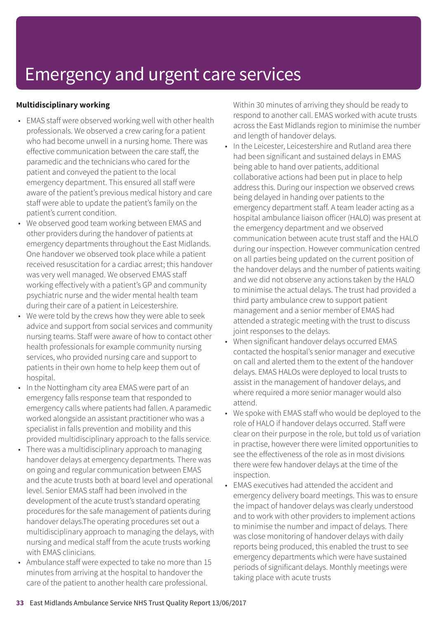#### **Multidisciplinary working**

- EMAS staff were observed working well with other health professionals. We observed a crew caring for a patient who had become unwell in a nursing home. There was effective communication between the care staff, the paramedic and the technicians who cared for the patient and conveyed the patient to the local emergency department. This ensured all staff were aware of the patient's previous medical history and care staff were able to update the patient's family on the patient's current condition.
- We observed good team working between EMAS and other providers during the handover of patients at emergency departments throughout the East Midlands. One handover we observed took place while a patient received resuscitation for a cardiac arrest; this handover was very well managed. We observed EMAS staff working effectively with a patient's GP and community psychiatric nurse and the wider mental health team during their care of a patient in Leicestershire.
- We were told by the crews how they were able to seek advice and support from social services and community nursing teams. Staff were aware of how to contact other health professionals for example community nursing services, who provided nursing care and support to patients in their own home to help keep them out of hospital.
- In the Nottingham city area EMAS were part of an emergency falls response team that responded to emergency calls where patients had fallen. A paramedic worked alongside an assistant practitioner who was a specialist in falls prevention and mobility and this provided multidisciplinary approach to the falls service.
- There was a multidisciplinary approach to managing handover delays at emergency departments. There was on going and regular communication between EMAS and the acute trusts both at board level and operational level. Senior EMAS staff had been involved in the development of the acute trust's standard operating procedures for the safe management of patients during handover delays.The operating procedures set out a multidisciplinary approach to managing the delays, with nursing and medical staff from the acute trusts working with EMAS clinicians.
- Ambulance staff were expected to take no more than 15 minutes from arriving at the hospital to handover the care of the patient to another health care professional.

Within 30 minutes of arriving they should be ready to respond to another call. EMAS worked with acute trusts across the East Midlands region to minimise the number and length of handover delays.

- In the Leicester, Leicestershire and Rutland area there had been significant and sustained delays in EMAS being able to hand over patients, additional collaborative actions had been put in place to help address this. During our inspection we observed crews being delayed in handing over patients to the emergency department staff. A team leader acting as a hospital ambulance liaison officer (HALO) was present at the emergency department and we observed communication between acute trust staff and the HALO during our inspection. However communication centred on all parties being updated on the current position of the handover delays and the number of patients waiting and we did not observe any actions taken by the HALO to minimise the actual delays. The trust had provided a third party ambulance crew to support patient management and a senior member of EMAS had attended a strategic meeting with the trust to discuss joint responses to the delays.
- When significant handover delays occurred EMAS contacted the hospital's senior manager and executive on call and alerted them to the extent of the handover delays. EMAS HALOs were deployed to local trusts to assist in the management of handover delays, and where required a more senior manager would also attend.
- We spoke with EMAS staff who would be deployed to the role of HALO if handover delays occurred. Staff were clear on their purpose in the role, but told us of variation in practise, however there were limited opportunities to see the effectiveness of the role as in most divisions there were few handover delays at the time of the inspection.
- EMAS executives had attended the accident and emergency delivery board meetings. This was to ensure the impact of handover delays was clearly understood and to work with other providers to implement actions to minimise the number and impact of delays. There was close monitoring of handover delays with daily reports being produced, this enabled the trust to see emergency departments which were have sustained periods of significant delays. Monthly meetings were taking place with acute trusts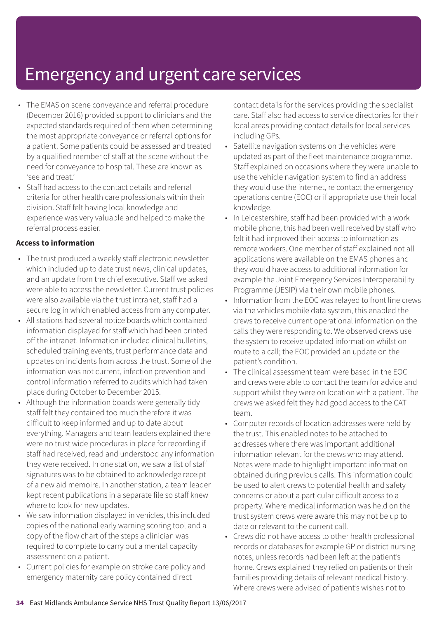- The EMAS on scene conveyance and referral procedure (December 2016) provided support to clinicians and the expected standards required of them when determining the most appropriate conveyance or referral options for a patient. Some patients could be assessed and treated by a qualified member of staff at the scene without the need for conveyance to hospital. These are known as 'see and treat.'
- Staff had access to the contact details and referral criteria for other health care professionals within their division. Staff felt having local knowledge and experience was very valuable and helped to make the referral process easier.

#### **Access to information**

- The trust produced a weekly staff electronic newsletter which included up to date trust news, clinical updates, and an update from the chief executive. Staff we asked were able to access the newsletter. Current trust policies were also available via the trust intranet, staff had a secure log in which enabled access from any computer.
- All stations had several notice boards which contained information displayed for staff which had been printed off the intranet. Information included clinical bulletins, scheduled training events, trust performance data and updates on incidents from across the trust. Some of the information was not current, infection prevention and control information referred to audits which had taken place during October to December 2015.
- Although the information boards were generally tidy staff felt they contained too much therefore it was difficult to keep informed and up to date about everything. Managers and team leaders explained there were no trust wide procedures in place for recording if staff had received, read and understood any information they were received. In one station, we saw a list of staff signatures was to be obtained to acknowledge receipt of a new aid memoire. In another station, a team leader kept recent publications in a separate file so staff knew where to look for new updates.
- We saw information displayed in vehicles, this included copies of the national early warning scoring tool and a copy of the flow chart of the steps a clinician was required to complete to carry out a mental capacity assessment on a patient.
- Current policies for example on stroke care policy and emergency maternity care policy contained direct

contact details for the services providing the specialist care. Staff also had access to service directories for their local areas providing contact details for local services including GPs.

- Satellite navigation systems on the vehicles were updated as part of the fleet maintenance programme. Staff explained on occasions where they were unable to use the vehicle navigation system to find an address they would use the internet, re contact the emergency operations centre (EOC) or if appropriate use their local knowledge.
- In Leicestershire, staff had been provided with a work mobile phone, this had been well received by staff who felt it had improved their access to information as remote workers. One member of staff explained not all applications were available on the EMAS phones and they would have access to additional information for example the Joint Emergency Services Interoperability Programme (JESIP) via their own mobile phones.
- Information from the EOC was relayed to front line crews via the vehicles mobile data system, this enabled the crews to receive current operational information on the calls they were responding to. We observed crews use the system to receive updated information whilst on route to a call; the EOC provided an update on the patient's condition.
- The clinical assessment team were based in the EOC and crews were able to contact the team for advice and support whilst they were on location with a patient. The crews we asked felt they had good access to the CAT team.
- Computer records of location addresses were held by the trust. This enabled notes to be attached to addresses where there was important additional information relevant for the crews who may attend. Notes were made to highlight important information obtained during previous calls. This information could be used to alert crews to potential health and safety concerns or about a particular difficult access to a property. Where medical information was held on the trust system crews were aware this may not be up to date or relevant to the current call.
- Crews did not have access to other health professional records or databases for example GP or district nursing notes, unless records had been left at the patient's home. Crews explained they relied on patients or their families providing details of relevant medical history. Where crews were advised of patient's wishes not to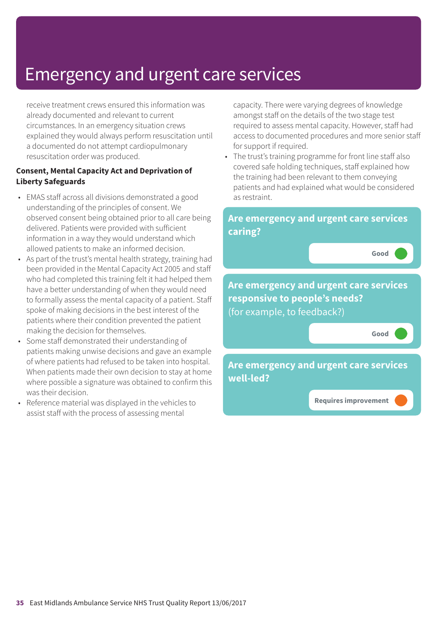receive treatment crews ensured this information was already documented and relevant to current circumstances. In an emergency situation crews explained they would always perform resuscitation until a documented do not attempt cardiopulmonary resuscitation order was produced.

#### **Consent, Mental Capacity Act and Deprivation of Liberty Safeguards**

- EMAS staff across all divisions demonstrated a good understanding of the principles of consent. We observed consent being obtained prior to all care being delivered. Patients were provided with sufficient information in a way they would understand which allowed patients to make an informed decision.
- As part of the trust's mental health strategy, training had been provided in the Mental Capacity Act 2005 and staff who had completed this training felt it had helped them have a better understanding of when they would need to formally assess the mental capacity of a patient. Staff spoke of making decisions in the best interest of the patients where their condition prevented the patient making the decision for themselves.
- Some staff demonstrated their understanding of patients making unwise decisions and gave an example of where patients had refused to be taken into hospital. When patients made their own decision to stay at home where possible a signature was obtained to confirm this was their decision.
- Reference material was displayed in the vehicles to assist staff with the process of assessing mental

capacity. There were varying degrees of knowledge amongst staff on the details of the two stage test required to assess mental capacity. However, staff had access to documented procedures and more senior staff for support if required.

• The trust's training programme for front line staff also covered safe holding techniques, staff explained how the training had been relevant to them conveying patients and had explained what would be considered as restraint.

### **Are emergency and urgent care services caring? Good ––– Are emergency and urgent care services responsive to people's needs?** (for example, to feedback?) **Good ––– Are emergency and urgent care services well-led? Requires improvement –––**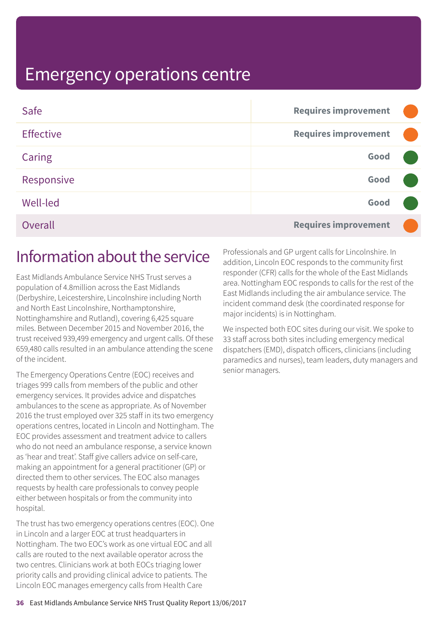| Safe             | <b>Requires improvement</b> |  |
|------------------|-----------------------------|--|
| <b>Effective</b> | <b>Requires improvement</b> |  |
| Caring           | Good                        |  |
| Responsive       | Good                        |  |
| <b>Well-led</b>  | Good                        |  |
| Overall          | <b>Requires improvement</b> |  |

### Information about the service

East Midlands Ambulance Service NHS Trust serves a population of 4.8million across the East Midlands (Derbyshire, Leicestershire, Lincolnshire including North and North East Lincolnshire, Northamptonshire, Nottinghamshire and Rutland), covering 6,425 square miles. Between December 2015 and November 2016, the trust received 939,499 emergency and urgent calls. Of these 659,480 calls resulted in an ambulance attending the scene of the incident.

The Emergency Operations Centre (EOC) receives and triages 999 calls from members of the public and other emergency services. It provides advice and dispatches ambulances to the scene as appropriate. As of November 2016 the trust employed over 325 staff in its two emergency operations centres, located in Lincoln and Nottingham. The EOC provides assessment and treatment advice to callers who do not need an ambulance response, a service known as 'hear and treat'. Staff give callers advice on self-care, making an appointment for a general practitioner (GP) or directed them to other services. The EOC also manages requests by health care professionals to convey people either between hospitals or from the community into hospital.

The trust has two emergency operations centres (EOC). One in Lincoln and a larger EOC at trust headquarters in Nottingham. The two EOC's work as one virtual EOC and all calls are routed to the next available operator across the two centres. Clinicians work at both EOCs triaging lower priority calls and providing clinical advice to patients. The Lincoln EOC manages emergency calls from Health Care

Professionals and GP urgent calls for Lincolnshire. In addition, Lincoln EOC responds to the community first responder (CFR) calls for the whole of the East Midlands area. Nottingham EOC responds to calls for the rest of the East Midlands including the air ambulance service. The incident command desk (the coordinated response for major incidents) is in Nottingham.

We inspected both EOC sites during our visit. We spoke to 33 staff across both sites including emergency medical dispatchers (EMD), dispatch officers, clinicians (including paramedics and nurses), team leaders, duty managers and senior managers.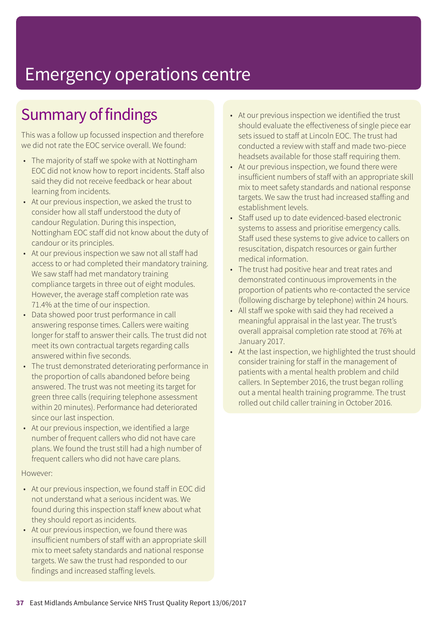# Summary of findings

This was a follow up focussed inspection and therefore we did not rate the EOC service overall. We found:

- The majority of staff we spoke with at Nottingham EOC did not know how to report incidents. Staff also said they did not receive feedback or hear about learning from incidents.
- At our previous inspection, we asked the trust to consider how all staff understood the duty of candour Regulation. During this inspection, Nottingham EOC staff did not know about the duty of candour or its principles.
- At our previous inspection we saw not all staff had access to or had completed their mandatory training. We saw staff had met mandatory training compliance targets in three out of eight modules. However, the average staff completion rate was 71.4% at the time of our inspection.
- Data showed poor trust performance in call answering response times. Callers were waiting longer for staff to answer their calls. The trust did not meet its own contractual targets regarding calls answered within five seconds.
- The trust demonstrated deteriorating performance in the proportion of calls abandoned before being answered. The trust was not meeting its target for green three calls (requiring telephone assessment within 20 minutes). Performance had deteriorated since our last inspection.
- At our previous inspection, we identified a large number of frequent callers who did not have care plans. We found the trust still had a high number of frequent callers who did not have care plans.

#### However:

- At our previous inspection, we found staff in EOC did not understand what a serious incident was. We found during this inspection staff knew about what they should report as incidents.
- At our previous inspection, we found there was insufficient numbers of staff with an appropriate skill mix to meet safety standards and national response targets. We saw the trust had responded to our findings and increased staffing levels.
- At our previous inspection we identified the trust should evaluate the effectiveness of single piece ear sets issued to staff at Lincoln EOC. The trust had conducted a review with staff and made two-piece headsets available for those staff requiring them.
- At our previous inspection, we found there were insufficient numbers of staff with an appropriate skill mix to meet safety standards and national response targets. We saw the trust had increased staffing and establishment levels.
- Staff used up to date evidenced-based electronic systems to assess and prioritise emergency calls. Staff used these systems to give advice to callers on resuscitation, dispatch resources or gain further medical information.
- The trust had positive hear and treat rates and demonstrated continuous improvements in the proportion of patients who re-contacted the service (following discharge by telephone) within 24 hours.
- All staff we spoke with said they had received a meaningful appraisal in the last year. The trust's overall appraisal completion rate stood at 76% at January 2017.
- At the last inspection, we highlighted the trust should consider training for staff in the management of patients with a mental health problem and child callers. In September 2016, the trust began rolling out a mental health training programme. The trust rolled out child caller training in October 2016.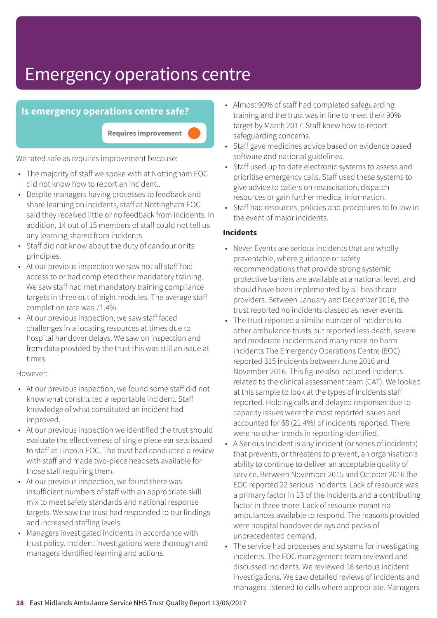### **Is emergency operations centre safe?**

**Requires improvement –––**

We rated safe as requires improvement because:

- The majority of staff we spoke with at Nottingham EOC did not know how to report an incident..
- Despite managers having processes to feedback and share learning on incidents, staff at Nottingham EOC said they received little or no feedback from incidents. In addition, 14 out of 15 members of staff could not tell us any learning shared from incidents.
- Staff did not know about the duty of candour or its principles.
- At our previous inspection we saw not all staff had access to or had completed their mandatory training. We saw staff had met mandatory training compliance targets in three out of eight modules. The average staff completion rate was 71.4%.
- At our previous inspection, we saw staff faced challenges in allocating resources at times due to hospital handover delays. We saw on inspection and from data provided by the trust this was still an issue at times.

#### However:

- At our previous inspection, we found some staff did not know what constituted a reportable incident. Staff knowledge of what constituted an incident had improved.
- At our previous inspection we identified the trust should evaluate the effectiveness of single piece ear sets issued to staff at Lincoln EOC. The trust had conducted a review with staff and made two-piece headsets available for those staff requiring them.
- At our previous inspection, we found there was insufficient numbers of staff with an appropriate skill mix to meet safety standards and national response targets. We saw the trust had responded to our findings and increased staffing levels.
- Managers investigated incidents in accordance with trust policy. Incident investigations were thorough and managers identified learning and actions.
- Almost 90% of staff had completed safeguarding training and the trust was in line to meet their 90% target by March 2017. Staff knew how to report safeguarding concerns.
- Staff gave medicines advice based on evidence based software and national guidelines.
- Staff used up to date electronic systems to assess and prioritise emergency calls. Staff used these systems to give advice to callers on resuscitation, dispatch resources or gain further medical information.
- Staff had resources, policies and procedures to follow in the event of major incidents.

#### **Incidents**

- Never Events are serious incidents that are wholly preventable, where guidance or safety recommendations that provide strong systemic protective barriers are available at a national level, and should have been implemented by all healthcare providers. Between January and December 2016, the trust reported no incidents classed as never events.
- The trust reported a similar number of incidents to other ambulance trusts but reported less death, severe and moderate incidents and many more no harm incidents The Emergency Operations Centre (EOC) reported 315 incidents between June 2016 and November 2016. This figure also included incidents related to the clinical assessment team (CAT). We looked at this sample to look at the types of incidents staff reported. Holding calls and delayed responses due to capacity issues were the most reported issues and accounted for 68 (21.4%) of incidents reported. There were no other trends in reporting identified.
- A Serious Incident is any incident (or series of incidents) that prevents, or threatens to prevent, an organisation's ability to continue to deliver an acceptable quality of service. Between November 2015 and October 2016 the EOC reported 22 serious incidents. Lack of resource was a primary factor in 13 of the incidents and a contributing factor in three more. Lack of resource meant no ambulances available to respond. The reasons provided were hospital handover delays and peaks of unprecedented demand.
- The service had processes and systems for investigating incidents. The EOC management team reviewed and discussed incidents. We reviewed 18 serious incident investigations. We saw detailed reviews of incidents and managers listened to calls where appropriate. Managers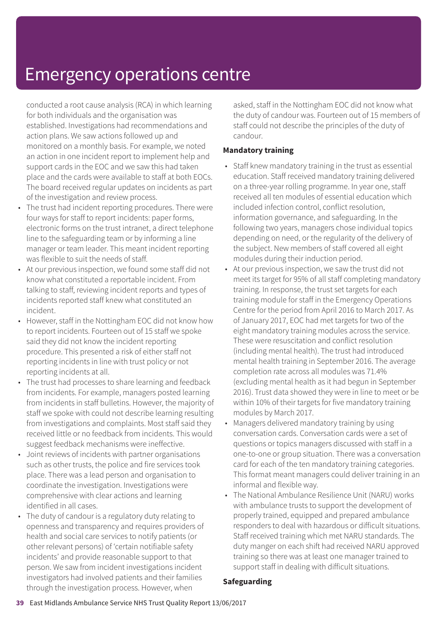conducted a root cause analysis (RCA) in which learning for both individuals and the organisation was established. Investigations had recommendations and action plans. We saw actions followed up and monitored on a monthly basis. For example, we noted an action in one incident report to implement help and support cards in the EOC and we saw this had taken place and the cards were available to staff at both EOCs. The board received regular updates on incidents as part of the investigation and review process.

- The trust had incident reporting procedures. There were four ways for staff to report incidents: paper forms, electronic forms on the trust intranet, a direct telephone line to the safeguarding team or by informing a line manager or team leader. This meant incident reporting was flexible to suit the needs of staff.
- At our previous inspection, we found some staff did not know what constituted a reportable incident. From talking to staff, reviewing incident reports and types of incidents reported staff knew what constituted an incident.
- However, staff in the Nottingham EOC did not know how to report incidents. Fourteen out of 15 staff we spoke said they did not know the incident reporting procedure. This presented a risk of either staff not reporting incidents in line with trust policy or not reporting incidents at all.
- The trust had processes to share learning and feedback from incidents. For example, managers posted learning from incidents in staff bulletins. However, the majority of staff we spoke with could not describe learning resulting from investigations and complaints. Most staff said they received little or no feedback from incidents. This would suggest feedback mechanisms were ineffective.
- Joint reviews of incidents with partner organisations such as other trusts, the police and fire services took place. There was a lead person and organisation to coordinate the investigation. Investigations were comprehensive with clear actions and learning identified in all cases.
- The duty of candour is a regulatory duty relating to openness and transparency and requires providers of health and social care services to notify patients (or other relevant persons) of 'certain notifiable safety incidents' and provide reasonable support to that person. We saw from incident investigations incident investigators had involved patients and their families through the investigation process. However, when

asked, staff in the Nottingham EOC did not know what the duty of candour was. Fourteen out of 15 members of staff could not describe the principles of the duty of candour.

#### **Mandatory training**

- Staff knew mandatory training in the trust as essential education. Staff received mandatory training delivered on a three-year rolling programme. In year one, staff received all ten modules of essential education which included infection control, conflict resolution, information governance, and safeguarding. In the following two years, managers chose individual topics depending on need, or the regularity of the delivery of the subject. New members of staff covered all eight modules during their induction period.
- At our previous inspection, we saw the trust did not meet its target for 95% of all staff completing mandatory training. In response, the trust set targets for each training module for staff in the Emergency Operations Centre for the period from April 2016 to March 2017. As of January 2017, EOC had met targets for two of the eight mandatory training modules across the service. These were resuscitation and conflict resolution (including mental health). The trust had introduced mental health training in September 2016. The average completion rate across all modules was 71.4% (excluding mental health as it had begun in September 2016). Trust data showed they were in line to meet or be within 10% of their targets for five mandatory training modules by March 2017.
- Managers delivered mandatory training by using conversation cards. Conversation cards were a set of questions or topics managers discussed with staff in a one-to-one or group situation. There was a conversation card for each of the ten mandatory training categories. This format meant managers could deliver training in an informal and flexible way.
- The National Ambulance Resilience Unit (NARU) works with ambulance trusts to support the development of properly trained, equipped and prepared ambulance responders to deal with hazardous or difficult situations. Staff received training which met NARU standards. The duty manger on each shift had received NARU approved training so there was at least one manager trained to support staff in dealing with difficult situations.

#### **Safeguarding**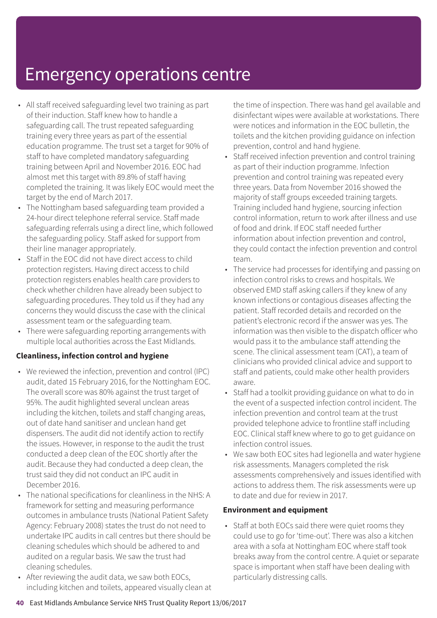- All staff received safeguarding level two training as part of their induction. Staff knew how to handle a safeguarding call. The trust repeated safeguarding training every three years as part of the essential education programme. The trust set a target for 90% of staff to have completed mandatory safeguarding training between April and November 2016. EOC had almost met this target with 89.8% of staff having completed the training. It was likely EOC would meet the target by the end of March 2017.
- The Nottingham based safeguarding team provided a 24-hour direct telephone referral service. Staff made safeguarding referrals using a direct line, which followed the safeguarding policy. Staff asked for support from their line manager appropriately.
- Staff in the EOC did not have direct access to child protection registers. Having direct access to child protection registers enables health care providers to check whether children have already been subject to safeguarding procedures. They told us if they had any concerns they would discuss the case with the clinical assessment team or the safeguarding team.
- There were safeguarding reporting arrangements with multiple local authorities across the East Midlands.

#### **Cleanliness, infection control and hygiene**

- We reviewed the infection, prevention and control (IPC) audit, dated 15 February 2016, for the Nottingham EOC. The overall score was 80% against the trust target of 95%. The audit highlighted several unclean areas including the kitchen, toilets and staff changing areas, out of date hand sanitiser and unclean hand get dispensers. The audit did not identify action to rectify the issues. However, in response to the audit the trust conducted a deep clean of the EOC shortly after the audit. Because they had conducted a deep clean, the trust said they did not conduct an IPC audit in December 2016.
- The national specifications for cleanliness in the NHS: A framework for setting and measuring performance outcomes in ambulance trusts (National Patient Safety Agency: February 2008) states the trust do not need to undertake IPC audits in call centres but there should be cleaning schedules which should be adhered to and audited on a regular basis. We saw the trust had cleaning schedules.
- After reviewing the audit data, we saw both EOCs, including kitchen and toilets, appeared visually clean at

the time of inspection. There was hand gel available and disinfectant wipes were available at workstations. There were notices and information in the EOC bulletin, the toilets and the kitchen providing guidance on infection prevention, control and hand hygiene.

- Staff received infection prevention and control training as part of their induction programme. Infection prevention and control training was repeated every three years. Data from November 2016 showed the majority of staff groups exceeded training targets. Training included hand hygiene, sourcing infection control information, return to work after illness and use of food and drink. If EOC staff needed further information about infection prevention and control, they could contact the infection prevention and control team.
- The service had processes for identifying and passing on infection control risks to crews and hospitals. We observed EMD staff asking callers if they knew of any known infections or contagious diseases affecting the patient. Staff recorded details and recorded on the patient's electronic record if the answer was yes. The information was then visible to the dispatch officer who would pass it to the ambulance staff attending the scene. The clinical assessment team (CAT), a team of clinicians who provided clinical advice and support to staff and patients, could make other health providers aware.
- Staff had a toolkit providing guidance on what to do in the event of a suspected infection control incident. The infection prevention and control team at the trust provided telephone advice to frontline staff including EOC. Clinical staff knew where to go to get guidance on infection control issues.
- We saw both EOC sites had legionella and water hygiene risk assessments. Managers completed the risk assessments comprehensively and issues identified with actions to address them. The risk assessments were up to date and due for review in 2017.

#### **Environment and equipment**

• Staff at both EOCs said there were quiet rooms they could use to go for 'time-out'. There was also a kitchen area with a sofa at Nottingham EOC where staff took breaks away from the control centre. A quiet or separate space is important when staff have been dealing with particularly distressing calls.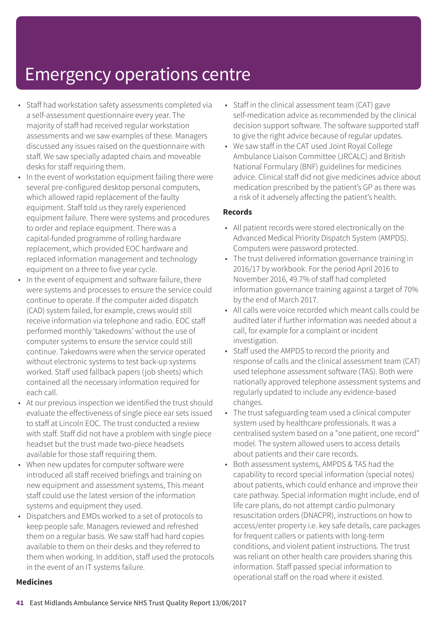- Staff had workstation safety assessments completed via a self-assessment questionnaire every year. The majority of staff had received regular workstation assessments and we saw examples of these. Managers discussed any issues raised on the questionnaire with staff. We saw specially adapted chairs and moveable desks for staff requiring them.
- In the event of workstation equipment failing there were several pre-configured desktop personal computers, which allowed rapid replacement of the faulty equipment. Staff told us they rarely experienced equipment failure. There were systems and procedures to order and replace equipment. There was a capital-funded programme of rolling hardware replacement, which provided EOC hardware and replaced information management and technology equipment on a three to five year cycle.
- In the event of equipment and software failure, there were systems and processes to ensure the service could continue to operate. If the computer aided dispatch (CAD) system failed, for example, crews would still receive information via telephone and radio. EOC staff performed monthly 'takedowns' without the use of computer systems to ensure the service could still continue. Takedowns were when the service operated without electronic systems to test back-up systems worked. Staff used fallback papers (job sheets) which contained all the necessary information required for each call.
- At our previous inspection we identified the trust should evaluate the effectiveness of single piece ear sets issued to staff at Lincoln EOC. The trust conducted a review with staff. Staff did not have a problem with single piece headset but the trust made two-piece headsets available for those staff requiring them.
- When new updates for computer software were introduced all staff received briefings and training on new equipment and assessment systems, This meant staff could use the latest version of the information systems and equipment they used.
- Dispatchers and EMDs worked to a set of protocols to keep people safe. Managers reviewed and refreshed them on a regular basis. We saw staff had hard copies available to them on their desks and they referred to them when working. In addition, staff used the protocols in the event of an IT systems failure.
- Staff in the clinical assessment team (CAT) gave self-medication advice as recommended by the clinical decision support software. The software supported staff to give the right advice because of regular updates.
- We saw staff in the CAT used Joint Royal College Ambulance Liaison Committee (JRCALC) and British National Formulary (BNF) guidelines for medicines advice. Clinical staff did not give medicines advice about medication prescribed by the patient's GP as there was a risk of it adversely affecting the patient's health.

#### **Records**

- All patient records were stored electronically on the Advanced Medical Priority Dispatch System (AMPDS). Computers were password protected.
- The trust delivered information governance training in 2016/17 by workbook. For the period April 2016 to November 2016, 49.7% of staff had completed information governance training against a target of 70% by the end of March 2017.
- All calls were voice recorded which meant calls could be audited later if further information was needed about a call, for example for a complaint or incident investigation.
- Staff used the AMPDS to record the priority and response of calls and the clinical assessment team (CAT) used telephone assessment software (TAS). Both were nationally approved telephone assessment systems and regularly updated to include any evidence-based changes.
- The trust safeguarding team used a clinical computer system used by healthcare professionals. It was a centralised system based on a "one patient, one record" model. The system allowed users to access details about patients and their care records.
- Both assessment systems, AMPDS & TAS had the capability to record special information (special notes) about patients, which could enhance and improve their care pathway. Special information might include, end of life care plans, do not attempt cardio pulmonary resuscitation orders (DNACPR), instructions on how to access/enter property i.e. key safe details, care packages for frequent callers or patients with long-term conditions, and violent patient instructions. The trust was reliant on other health care providers sharing this information. Staff passed special information to operational staff on the road where it existed.

#### **Medicines**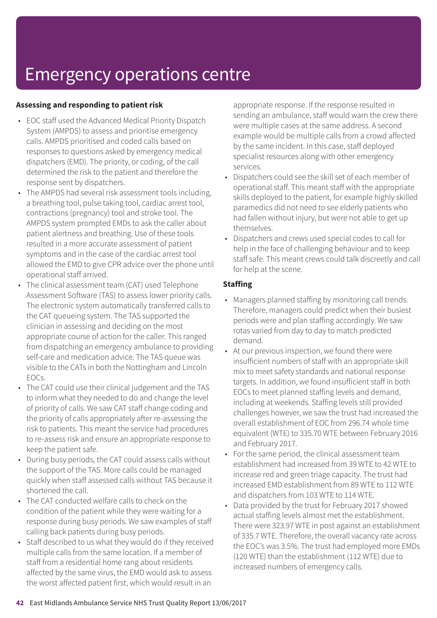#### **Assessing and responding to patient risk**

- EOC staff used the Advanced Medical Priority Dispatch System (AMPDS) to assess and prioritise emergency calls. AMPDS prioritised and coded calls based on responses to questions asked by emergency medical dispatchers (EMD). The priority, or coding, of the call determined the risk to the patient and therefore the response sent by dispatchers.
- The AMPDS had several risk assessment tools including, a breathing tool, pulse taking tool, cardiac arrest tool, contractions (pregnancy) tool and stroke tool. The AMPDS system prompted EMDs to ask the caller about patient alertness and breathing. Use of these tools resulted in a more accurate assessment of patient symptoms and in the case of the cardiac arrest tool allowed the EMD to give CPR advice over the phone until operational staff arrived.
- The clinical assessment team (CAT) used Telephone Assessment Software (TAS) to assess lower priority calls. The electronic system automatically transferred calls to the CAT queueing system. The TAS supported the clinician in assessing and deciding on the most appropriate course of action for the caller. This ranged from dispatching an emergency ambulance to providing self-care and medication advice. The TAS queue was visible to the CATs in both the Nottingham and Lincoln EOCs.
- The CAT could use their clinical judgement and the TAS to inform what they needed to do and change the level of priority of calls. We saw CAT staff change coding and the priority of calls appropriately after re-assessing the risk to patients. This meant the service had procedures to re-assess risk and ensure an appropriate response to keep the patient safe.
- During busy periods, the CAT could assess calls without the support of the TAS. More calls could be managed quickly when staff assessed calls without TAS because it shortened the call.
- The CAT conducted welfare calls to check on the condition of the patient while they were waiting for a response during busy periods. We saw examples of staff calling back patients during busy periods.
- Staff described to us what they would do if they received multiple calls from the same location. If a member of staff from a residential home rang about residents affected by the same virus, the EMD would ask to assess the worst affected patient first, which would result in an

appropriate response. If the response resulted in sending an ambulance, staff would warn the crew there were multiple cases at the same address. A second example would be multiple calls from a crowd affected by the same incident. In this case, staff deployed specialist resources along with other emergency services.

- Dispatchers could see the skill set of each member of operational staff. This meant staff with the appropriate skills deployed to the patient, for example highly skilled paramedics did not need to see elderly patients who had fallen without injury, but were not able to get up themselves.
- Dispatchers and crews used special codes to call for help in the face of challenging behaviour and to keep staff safe. This meant crews could talk discreetly and call for help at the scene.

#### **Staffing**

- Managers planned staffing by monitoring call trends. Therefore, managers could predict when their busiest periods were and plan staffing accordingly. We saw rotas varied from day to day to match predicted demand.
- At our previous inspection, we found there were insufficient numbers of staff with an appropriate skill mix to meet safety standards and national response targets. In addition, we found insufficient staff in both EOCs to meet planned staffing levels and demand, including at weekends. Staffing levels still provided challenges however, we saw the trust had increased the overall establishment of EOC from 296.74 whole time equivalent (WTE) to 335.70 WTE between February 2016 and February 2017.
- For the same period, the clinical assessment team establishment had increased from 39 WTE to 42 WTE to increase red and green triage capacity. The trust had increased EMD establishment from 89 WTE to 112 WTE and dispatchers from 103 WTE to 114 WTE.
- Data provided by the trust for February 2017 showed actual staffing levels almost met the establishment. There were 323.97 WTE in post against an establishment of 335.7 WTE. Therefore, the overall vacancy rate across the EOC's was 3.5%. The trust had employed more EMDs (120 WTE) than the establishment (112 WTE) due to increased numbers of emergency calls.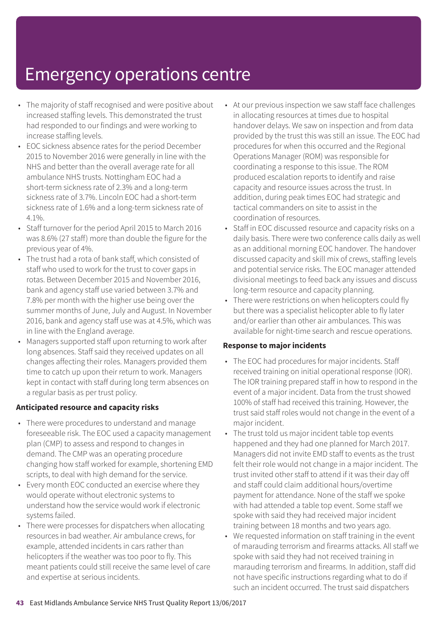- The majority of staff recognised and were positive about increased staffing levels. This demonstrated the trust had responded to our findings and were working to increase staffing levels.
- EOC sickness absence rates for the period December 2015 to November 2016 were generally in line with the NHS and better than the overall average rate for all ambulance NHS trusts. Nottingham EOC had a short-term sickness rate of 2.3% and a long-term sickness rate of 3.7%. Lincoln EOC had a short-term sickness rate of 1.6% and a long-term sickness rate of 4.1%.
- Staff turnover for the period April 2015 to March 2016 was 8.6% (27 staff) more than double the figure for the previous year of 4%.
- The trust had a rota of bank staff, which consisted of staff who used to work for the trust to cover gaps in rotas. Between December 2015 and November 2016, bank and agency staff use varied between 3.7% and 7.8% per month with the higher use being over the summer months of June, July and August. In November 2016, bank and agency staff use was at 4.5%, which was in line with the England average.
- Managers supported staff upon returning to work after long absences. Staff said they received updates on all changes affecting their roles. Managers provided them time to catch up upon their return to work. Managers kept in contact with staff during long term absences on a regular basis as per trust policy.

#### **Anticipated resource and capacity risks**

- There were procedures to understand and manage foreseeable risk. The EOC used a capacity management plan (CMP) to assess and respond to changes in demand. The CMP was an operating procedure changing how staff worked for example, shortening EMD scripts, to deal with high demand for the service.
- Every month EOC conducted an exercise where they would operate without electronic systems to understand how the service would work if electronic systems failed.
- There were processes for dispatchers when allocating resources in bad weather. Air ambulance crews, for example, attended incidents in cars rather than helicopters if the weather was too poor to fly. This meant patients could still receive the same level of care and expertise at serious incidents.
- At our previous inspection we saw staff face challenges in allocating resources at times due to hospital handover delays. We saw on inspection and from data provided by the trust this was still an issue. The EOC had procedures for when this occurred and the Regional Operations Manager (ROM) was responsible for coordinating a response to this issue. The ROM produced escalation reports to identify and raise capacity and resource issues across the trust. In addition, during peak times EOC had strategic and tactical commanders on site to assist in the coordination of resources.
- Staff in EOC discussed resource and capacity risks on a daily basis. There were two conference calls daily as well as an additional morning EOC handover. The handover discussed capacity and skill mix of crews, staffing levels and potential service risks. The EOC manager attended divisional meetings to feed back any issues and discuss long-term resource and capacity planning.
- There were restrictions on when helicopters could fly but there was a specialist helicopter able to fly later and/or earlier than other air ambulances. This was available for night-time search and rescue operations.

#### **Response to major incidents**

- The EOC had procedures for major incidents. Staff received training on initial operational response (IOR). The IOR training prepared staff in how to respond in the event of a major incident. Data from the trust showed 100% of staff had received this training. However, the trust said staff roles would not change in the event of a major incident.
- The trust told us major incident table top events happened and they had one planned for March 2017. Managers did not invite EMD staff to events as the trust felt their role would not change in a major incident. The trust invited other staff to attend if it was their day off and staff could claim additional hours/overtime payment for attendance. None of the staff we spoke with had attended a table top event. Some staff we spoke with said they had received major incident training between 18 months and two years ago.
- We requested information on staff training in the event of marauding terrorism and firearms attacks. All staff we spoke with said they had not received training in marauding terrorism and firearms. In addition, staff did not have specific instructions regarding what to do if such an incident occurred. The trust said dispatchers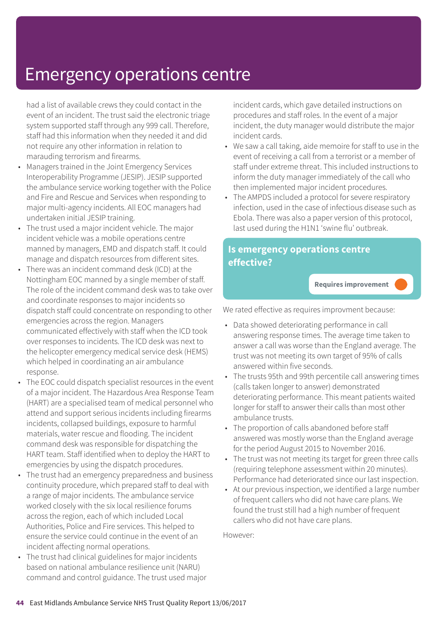had a list of available crews they could contact in the event of an incident. The trust said the electronic triage system supported staff through any 999 call. Therefore, staff had this information when they needed it and did not require any other information in relation to marauding terrorism and firearms.

- Managers trained in the Joint Emergency Services Interoperability Programme (JESIP). JESIP supported the ambulance service working together with the Police and Fire and Rescue and Services when responding to major multi-agency incidents. All EOC managers had undertaken initial JESIP training.
- The trust used a major incident vehicle. The major incident vehicle was a mobile operations centre manned by managers, EMD and dispatch staff. It could manage and dispatch resources from different sites.
- There was an incident command desk (ICD) at the Nottingham EOC manned by a single member of staff. The role of the incident command desk was to take over and coordinate responses to major incidents so dispatch staff could concentrate on responding to other emergencies across the region. Managers communicated effectively with staff when the ICD took over responses to incidents. The ICD desk was next to the helicopter emergency medical service desk (HEMS) which helped in coordinating an air ambulance response.
- The EOC could dispatch specialist resources in the event of a major incident. The Hazardous Area Response Team (HART) are a specialised team of medical personnel who attend and support serious incidents including firearms incidents, collapsed buildings, exposure to harmful materials, water rescue and flooding. The incident command desk was responsible for dispatching the HART team. Staff identified when to deploy the HART to emergencies by using the dispatch procedures.
- The trust had an emergency preparedness and business continuity procedure, which prepared staff to deal with a range of major incidents. The ambulance service worked closely with the six local resilience forums across the region, each of which included Local Authorities, Police and Fire services. This helped to ensure the service could continue in the event of an incident affecting normal operations.
- The trust had clinical guidelines for major incidents based on national ambulance resilience unit (NARU) command and control guidance. The trust used major

incident cards, which gave detailed instructions on procedures and staff roles. In the event of a major incident, the duty manager would distribute the major incident cards.

- We saw a call taking, aide memoire for staff to use in the event of receiving a call from a terrorist or a member of staff under extreme threat. This included instructions to inform the duty manager immediately of the call who then implemented major incident procedures.
- The AMPDS included a protocol for severe respiratory infection, used in the case of infectious disease such as Ebola. There was also a paper version of this protocol, last used during the H1N1 'swine flu' outbreak.

#### **Is emergency operations centre effective?**

**Requires improvement –––**

We rated effective as requires improvment because:

- Data showed deteriorating performance in call answering response times. The average time taken to answer a call was worse than the England average. The trust was not meeting its own target of 95% of calls answered within five seconds.
- The trusts 95th and 99th percentile call answering times (calls taken longer to answer) demonstrated deteriorating performance. This meant patients waited longer for staff to answer their calls than most other ambulance trusts.
- The proportion of calls abandoned before staff answered was mostly worse than the England average for the period August 2015 to November 2016.
- The trust was not meeting its target for green three calls (requiring telephone assessment within 20 minutes). Performance had deteriorated since our last inspection.
- At our previous inspection, we identified a large number of frequent callers who did not have care plans. We found the trust still had a high number of frequent callers who did not have care plans.

However: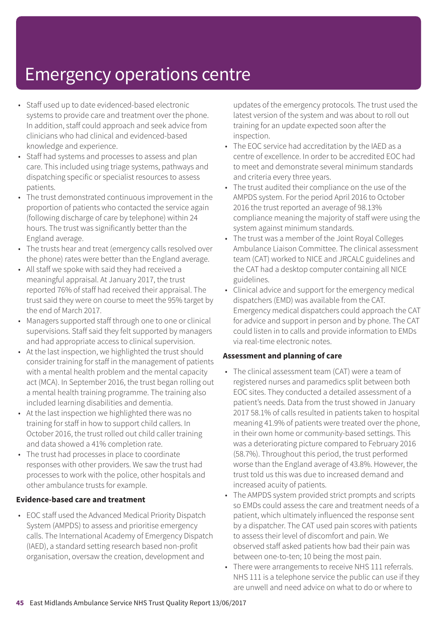- Staff used up to date evidenced-based electronic systems to provide care and treatment over the phone. In addition, staff could approach and seek advice from clinicians who had clinical and evidenced-based knowledge and experience.
- Staff had systems and processes to assess and plan care. This included using triage systems, pathways and dispatching specific or specialist resources to assess patients.
- The trust demonstrated continuous improvement in the proportion of patients who contacted the service again (following discharge of care by telephone) within 24 hours. The trust was significantly better than the England average.
- The trusts hear and treat (emergency calls resolved over the phone) rates were better than the England average.
- All staff we spoke with said they had received a meaningful appraisal. At January 2017, the trust reported 76% of staff had received their appraisal. The trust said they were on course to meet the 95% target by the end of March 2017.
- Managers supported staff through one to one or clinical supervisions. Staff said they felt supported by managers and had appropriate access to clinical supervision.
- At the last inspection, we highlighted the trust should consider training for staff in the management of patients with a mental health problem and the mental capacity act (MCA). In September 2016, the trust began rolling out a mental health training programme. The training also included learning disabilities and dementia.
- At the last inspection we highlighted there was no training for staff in how to support child callers. In October 2016, the trust rolled out child caller training and data showed a 41% completion rate.
- The trust had processes in place to coordinate responses with other providers. We saw the trust had processes to work with the police, other hospitals and other ambulance trusts for example.

#### **Evidence-based care and treatment**

• EOC staff used the Advanced Medical Priority Dispatch System (AMPDS) to assess and prioritise emergency calls. The International Academy of Emergency Dispatch (IAED), a standard setting research based non-profit organisation, oversaw the creation, development and

updates of the emergency protocols. The trust used the latest version of the system and was about to roll out training for an update expected soon after the inspection.

- The EOC service had accreditation by the IAED as a centre of excellence. In order to be accredited EOC had to meet and demonstrate several minimum standards and criteria every three years.
- The trust audited their compliance on the use of the AMPDS system. For the period April 2016 to October 2016 the trust reported an average of 98.13% compliance meaning the majority of staff were using the system against minimum standards.
- The trust was a member of the Joint Royal Colleges Ambulance Liaison Committee. The clinical assessment team (CAT) worked to NICE and JRCALC guidelines and the CAT had a desktop computer containing all NICE guidelines.
- Clinical advice and support for the emergency medical dispatchers (EMD) was available from the CAT. Emergency medical dispatchers could approach the CAT for advice and support in person and by phone. The CAT could listen in to calls and provide information to EMDs via real-time electronic notes.

#### **Assessment and planning of care**

- The clinical assessment team (CAT) were a team of registered nurses and paramedics split between both EOC sites. They conducted a detailed assessment of a patient's needs. Data from the trust showed in January 2017 58.1% of calls resulted in patients taken to hospital meaning 41.9% of patients were treated over the phone, in their own home or community-based settings. This was a deteriorating picture compared to February 2016 (58.7%). Throughout this period, the trust performed worse than the England average of 43.8%. However, the trust told us this was due to increased demand and increased acuity of patients.
- The AMPDS system provided strict prompts and scripts so EMDs could assess the care and treatment needs of a patient, which ultimately influenced the response sent by a dispatcher. The CAT used pain scores with patients to assess their level of discomfort and pain. We observed staff asked patients how bad their pain was between one-to-ten; 10 being the most pain.
- There were arrangements to receive NHS 111 referrals. NHS 111 is a telephone service the public can use if they are unwell and need advice on what to do or where to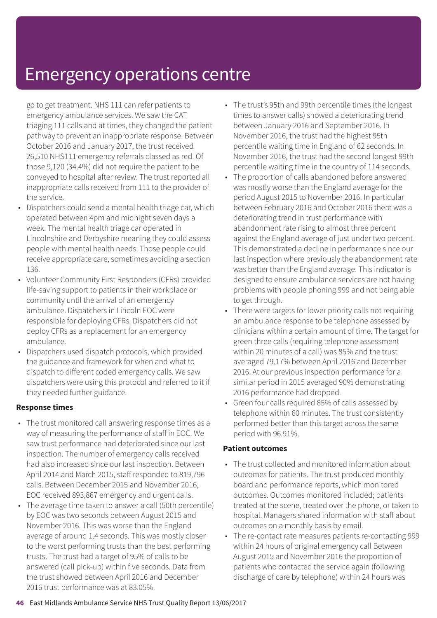go to get treatment. NHS 111 can refer patients to emergency ambulance services. We saw the CAT triaging 111 calls and at times, they changed the patient pathway to prevent an inappropriate response. Between October 2016 and January 2017, the trust received 26,510 NHS111 emergency referrals classed as red. Of those 9,120 (34.4%) did not require the patient to be conveyed to hospital after review. The trust reported all inappropriate calls received from 111 to the provider of the service.

- Dispatchers could send a mental health triage car, which operated between 4pm and midnight seven days a week. The mental health triage car operated in Lincolnshire and Derbyshire meaning they could assess people with mental health needs. Those people could receive appropriate care, sometimes avoiding a section 136.
- Volunteer Community First Responders (CFRs) provided life-saving support to patients in their workplace or community until the arrival of an emergency ambulance. Dispatchers in Lincoln EOC were responsible for deploying CFRs. Dispatchers did not deploy CFRs as a replacement for an emergency ambulance.
- Dispatchers used dispatch protocols, which provided the guidance and framework for when and what to dispatch to different coded emergency calls. We saw dispatchers were using this protocol and referred to it if they needed further guidance.

#### **Response times**

- The trust monitored call answering response times as a way of measuring the performance of staff in EOC. We saw trust performance had deteriorated since our last inspection. The number of emergency calls received had also increased since our last inspection. Between April 2014 and March 2015, staff responded to 819,796 calls. Between December 2015 and November 2016, EOC received 893,867 emergency and urgent calls.
- The average time taken to answer a call (50th percentile) by EOC was two seconds between August 2015 and November 2016. This was worse than the England average of around 1.4 seconds. This was mostly closer to the worst performing trusts than the best performing trusts. The trust had a target of 95% of calls to be answered (call pick-up) within five seconds. Data from the trust showed between April 2016 and December 2016 trust performance was at 83.05%.
- The trust's 95th and 99th percentile times (the longest times to answer calls) showed a deteriorating trend between January 2016 and September 2016. In November 2016, the trust had the highest 95th percentile waiting time in England of 62 seconds. In November 2016, the trust had the second longest 99th percentile waiting time in the country of 114 seconds.
- The proportion of calls abandoned before answered was mostly worse than the England average for the period August 2015 to November 2016. In particular between February 2016 and October 2016 there was a deteriorating trend in trust performance with abandonment rate rising to almost three percent against the England average of just under two percent. This demonstrated a decline in performance since our last inspection where previously the abandonment rate was better than the England average. This indicator is designed to ensure ambulance services are not having problems with people phoning 999 and not being able to get through.
- There were targets for lower priority calls not requiring an ambulance response to be telephone assessed by clinicians within a certain amount of time. The target for green three calls (requiring telephone assessment within 20 minutes of a call) was 85% and the trust averaged 79.17% between April 2016 and December 2016. At our previous inspection performance for a similar period in 2015 averaged 90% demonstrating 2016 performance had dropped.
- Green four calls required 85% of calls assessed by telephone within 60 minutes. The trust consistently performed better than this target across the same period with 96.91%.

#### **Patient outcomes**

- The trust collected and monitored information about outcomes for patients. The trust produced monthly board and performance reports, which monitored outcomes. Outcomes monitored included; patients treated at the scene, treated over the phone, or taken to hospital. Managers shared information with staff about outcomes on a monthly basis by email.
- The re-contact rate measures patients re-contacting 999 within 24 hours of original emergency call Between August 2015 and November 2016 the proportion of patients who contacted the service again (following discharge of care by telephone) within 24 hours was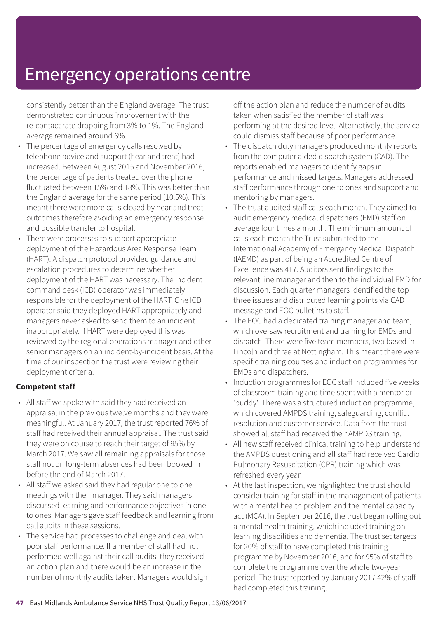consistently better than the England average. The trust demonstrated continuous improvement with the re-contact rate dropping from 3% to 1%. The England average remained around 6%.

- The percentage of emergency calls resolved by telephone advice and support (hear and treat) had increased. Between August 2015 and November 2016, the percentage of patients treated over the phone fluctuated between 15% and 18%. This was better than the England average for the same period (10.5%). This meant there were more calls closed by hear and treat outcomes therefore avoiding an emergency response and possible transfer to hospital.
- There were processes to support appropriate deployment of the Hazardous Area Response Team (HART). A dispatch protocol provided guidance and escalation procedures to determine whether deployment of the HART was necessary. The incident command desk (ICD) operator was immediately responsible for the deployment of the HART. One ICD operator said they deployed HART appropriately and managers never asked to send them to an incident inappropriately. If HART were deployed this was reviewed by the regional operations manager and other senior managers on an incident-by-incident basis. At the time of our inspection the trust were reviewing their deployment criteria.

#### **Competent staff**

- All staff we spoke with said they had received an appraisal in the previous twelve months and they were meaningful. At January 2017, the trust reported 76% of staff had received their annual appraisal. The trust said they were on course to reach their target of 95% by March 2017. We saw all remaining appraisals for those staff not on long-term absences had been booked in before the end of March 2017.
- All staff we asked said they had regular one to one meetings with their manager. They said managers discussed learning and performance objectives in one to ones. Managers gave staff feedback and learning from call audits in these sessions.
- The service had processes to challenge and deal with poor staff performance. If a member of staff had not performed well against their call audits, they received an action plan and there would be an increase in the number of monthly audits taken. Managers would sign

off the action plan and reduce the number of audits taken when satisfied the member of staff was performing at the desired level. Alternatively, the service could dismiss staff because of poor performance.

- The dispatch duty managers produced monthly reports from the computer aided dispatch system (CAD). The reports enabled managers to identify gaps in performance and missed targets. Managers addressed staff performance through one to ones and support and mentoring by managers.
- The trust audited staff calls each month. They aimed to audit emergency medical dispatchers (EMD) staff on average four times a month. The minimum amount of calls each month the Trust submitted to the International Academy of Emergency Medical Dispatch (IAEMD) as part of being an Accredited Centre of Excellence was 417. Auditors sent findings to the relevant line manager and then to the individual EMD for discussion. Each quarter managers identified the top three issues and distributed learning points via CAD message and EOC bulletins to staff.
- The EOC had a dedicated training manager and team, which oversaw recruitment and training for EMDs and dispatch. There were five team members, two based in Lincoln and three at Nottingham. This meant there were specific training courses and induction programmes for EMDs and dispatchers.
- Induction programmes for EOC staff included five weeks of classroom training and time spent with a mentor or 'buddy'. There was a structured induction programme, which covered AMPDS training, safeguarding, conflict resolution and customer service. Data from the trust showed all staff had received their AMPDS training.
- All new staff received clinical training to help understand the AMPDS questioning and all staff had received Cardio Pulmonary Resuscitation (CPR) training which was refreshed every year.
- At the last inspection, we highlighted the trust should consider training for staff in the management of patients with a mental health problem and the mental capacity act (MCA). In September 2016, the trust began rolling out a mental health training, which included training on learning disabilities and dementia. The trust set targets for 20% of staff to have completed this training programme by November 2016, and for 95% of staff to complete the programme over the whole two-year period. The trust reported by January 2017 42% of staff had completed this training.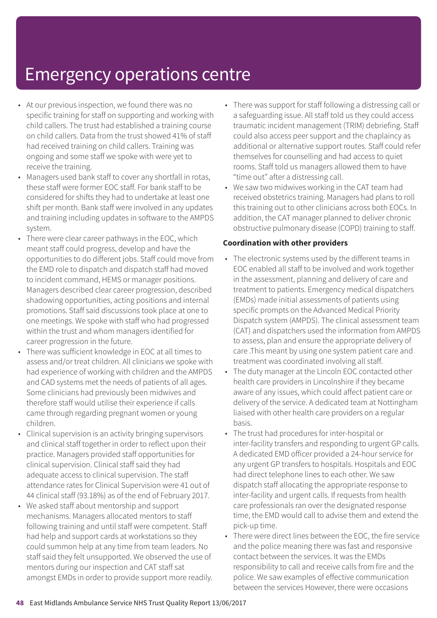- At our previous inspection, we found there was no specific training for staff on supporting and working with child callers. The trust had established a training course on child callers. Data from the trust showed 41% of staff had received training on child callers. Training was ongoing and some staff we spoke with were yet to receive the training.
- Managers used bank staff to cover any shortfall in rotas, these staff were former EOC staff. For bank staff to be considered for shifts they had to undertake at least one shift per month. Bank staff were involved in any updates and training including updates in software to the AMPDS system.
- There were clear career pathways in the EOC, which meant staff could progress, develop and have the opportunities to do different jobs. Staff could move from the EMD role to dispatch and dispatch staff had moved to incident command, HEMS or manager positions. Managers described clear career progression, described shadowing opportunities, acting positions and internal promotions. Staff said discussions took place at one to one meetings. We spoke with staff who had progressed within the trust and whom managers identified for career progression in the future.
- There was sufficient knowledge in EOC at all times to assess and/or treat children. All clinicians we spoke with had experience of working with children and the AMPDS and CAD systems met the needs of patients of all ages. Some clinicians had previously been midwives and therefore staff would utilise their experience if calls came through regarding pregnant women or young children.
- Clinical supervision is an activity bringing supervisors and clinical staff together in order to reflect upon their practice. Managers provided staff opportunities for clinical supervision. Clinical staff said they had adequate access to clinical supervision. The staff attendance rates for Clinical Supervision were 41 out of 44 clinical staff (93.18%) as of the end of February 2017.
- We asked staff about mentorship and support mechanisms. Managers allocated mentors to staff following training and until staff were competent. Staff had help and support cards at workstations so they could summon help at any time from team leaders. No staff said they felt unsupported. We observed the use of mentors during our inspection and CAT staff sat amongst EMDs in order to provide support more readily.
- There was support for staff following a distressing call or a safeguarding issue. All staff told us they could access traumatic incident management (TRIM) debriefing. Staff could also access peer support and the chaplaincy as additional or alternative support routes. Staff could refer themselves for counselling and had access to quiet rooms. Staff told us managers allowed them to have "time out" after a distressing call.
- We saw two midwives working in the CAT team had received obstetrics training. Managers had plans to roll this training out to other clinicians across both EOCs. In addition, the CAT manager planned to deliver chronic obstructive pulmonary disease (COPD) training to staff.

#### **Coordination with other providers**

- The electronic systems used by the different teams in EOC enabled all staff to be involved and work together in the assessment, planning and delivery of care and treatment to patients. Emergency medical dispatchers (EMDs) made initial assessments of patients using specific prompts on the Advanced Medical Priority Dispatch system (AMPDS). The clinical assessment team (CAT) and dispatchers used the information from AMPDS to assess, plan and ensure the appropriate delivery of care .This meant by using one system patient care and treatment was coordinated involving all staff.
- The duty manager at the Lincoln EOC contacted other health care providers in Lincolnshire if they became aware of any issues, which could affect patient care or delivery of the service. A dedicated team at Nottingham liaised with other health care providers on a regular basis.
- The trust had procedures for inter-hospital or inter-facility transfers and responding to urgent GP calls. A dedicated EMD officer provided a 24-hour service for any urgent GP transfers to hospitals. Hospitals and EOC had direct telephone lines to each other. We saw dispatch staff allocating the appropriate response to inter-facility and urgent calls. If requests from health care professionals ran over the designated response time, the EMD would call to advise them and extend the pick-up time.
- There were direct lines between the EOC, the fire service and the police meaning there was fast and responsive contact between the services. It was the EMDs responsibility to call and receive calls from fire and the police. We saw examples of effective communication between the services However, there were occasions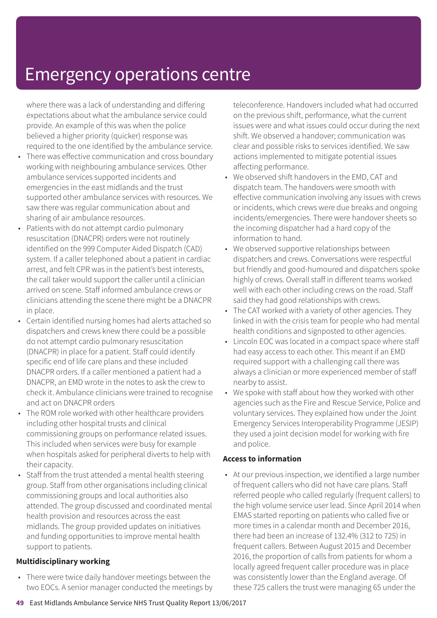where there was a lack of understanding and differing expectations about what the ambulance service could provide. An example of this was when the police believed a higher priority (quicker) response was required to the one identified by the ambulance service.

- There was effective communication and cross boundary working with neighbouring ambulance services. Other ambulance services supported incidents and emergencies in the east midlands and the trust supported other ambulance services with resources. We saw there was regular communication about and sharing of air ambulance resources.
- Patients with do not attempt cardio pulmonary resuscitation (DNACPR) orders were not routinely identified on the 999 Computer Aided Dispatch (CAD) system. If a caller telephoned about a patient in cardiac arrest, and felt CPR was in the patient's best interests, the call taker would support the caller until a clinician arrived on scene. Staff informed ambulance crews or clinicians attending the scene there might be a DNACPR in place.
- Certain identified nursing homes had alerts attached so dispatchers and crews knew there could be a possible do not attempt cardio pulmonary resuscitation (DNACPR) in place for a patient. Staff could identify specific end of life care plans and these included DNACPR orders. If a caller mentioned a patient had a DNACPR, an EMD wrote in the notes to ask the crew to check it. Ambulance clinicians were trained to recognise and act on DNACPR orders
- The ROM role worked with other healthcare providers including other hospital trusts and clinical commissioning groups on performance related issues. This included when services were busy for example when hospitals asked for peripheral diverts to help with their capacity.
- Staff from the trust attended a mental health steering group. Staff from other organisations including clinical commissioning groups and local authorities also attended. The group discussed and coordinated mental health provision and resources across the east midlands. The group provided updates on initiatives and funding opportunities to improve mental health support to patients.

#### **Multidisciplinary working**

• There were twice daily handover meetings between the two EOCs. A senior manager conducted the meetings by teleconference. Handovers included what had occurred on the previous shift, performance, what the current issues were and what issues could occur during the next shift. We observed a handover; communication was clear and possible risks to services identified. We saw actions implemented to mitigate potential issues affecting performance.

- We observed shift handovers in the EMD, CAT and dispatch team. The handovers were smooth with effective communication involving any issues with crews or incidents, which crews were due breaks and ongoing incidents/emergencies. There were handover sheets so the incoming dispatcher had a hard copy of the information to hand.
- We observed supportive relationships between dispatchers and crews. Conversations were respectful but friendly and good-humoured and dispatchers spoke highly of crews. Overall staff in different teams worked well with each other including crews on the road. Staff said they had good relationships with crews.
- The CAT worked with a variety of other agencies. They linked in with the crisis team for people who had mental health conditions and signposted to other agencies.
- Lincoln EOC was located in a compact space where staff had easy access to each other. This meant if an EMD required support with a challenging call there was always a clinician or more experienced member of staff nearby to assist.
- We spoke with staff about how they worked with other agencies such as the Fire and Rescue Service, Police and voluntary services. They explained how under the Joint Emergency Services Interoperability Programme (JESIP) they used a joint decision model for working with fire and police.

#### **Access to information**

• At our previous inspection, we identified a large number of frequent callers who did not have care plans. Staff referred people who called regularly (frequent callers) to the high volume service user lead. Since April 2014 when EMAS started reporting on patients who called five or more times in a calendar month and December 2016, there had been an increase of 132.4% (312 to 725) in frequent callers. Between August 2015 and December 2016, the proportion of calls from patients for whom a locally agreed frequent caller procedure was in place was consistently lower than the England average. Of these 725 callers the trust were managing 65 under the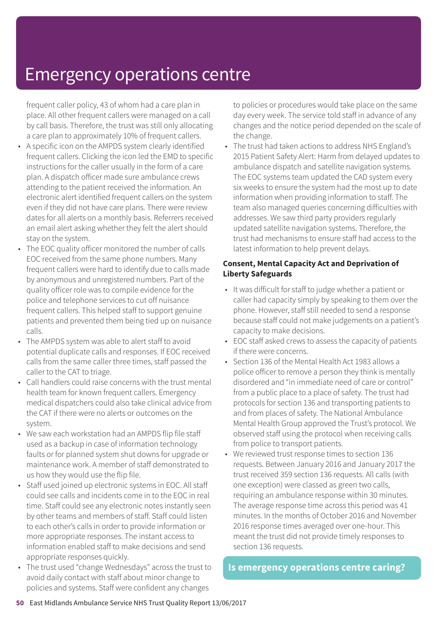frequent caller policy, 43 of whom had a care plan in place. All other frequent callers were managed on a call by call basis. Therefore, the trust was still only allocating a care plan to approximately 10% of frequent callers.

- A specific icon on the AMPDS system clearly identified frequent callers. Clicking the icon led the EMD to specific instructions for the caller usually in the form of a care plan. A dispatch officer made sure ambulance crews attending to the patient received the information. An electronic alert identified frequent callers on the system even if they did not have care plans. There were review dates for all alerts on a monthly basis. Referrers received an email alert asking whether they felt the alert should stay on the system.
- The EOC quality officer monitored the number of calls EOC received from the same phone numbers. Many frequent callers were hard to identify due to calls made by anonymous and unregistered numbers. Part of the quality officer role was to compile evidence for the police and telephone services to cut off nuisance frequent callers. This helped staff to support genuine patients and prevented them being tied up on nuisance calls.
- The AMPDS system was able to alert staff to avoid potential duplicate calls and responses. If EOC received calls from the same caller three times, staff passed the caller to the CAT to triage.
- Call handlers could raise concerns with the trust mental health team for known frequent callers. Emergency medical dispatchers could also take clinical advice from the CAT if there were no alerts or outcomes on the system.
- We saw each workstation had an AMPDS flip file staff used as a backup in case of information technology faults or for planned system shut downs for upgrade or maintenance work. A member of staff demonstrated to us how they would use the flip file.
- Staff used joined up electronic systems in EOC. All staff could see calls and incidents come in to the EOC in real time. Staff could see any electronic notes instantly seen by other teams and members of staff. Staff could listen to each other's calls in order to provide information or more appropriate responses. The instant access to information enabled staff to make decisions and send appropriate responses quickly.
- The trust used "change Wednesdays" across the trust to avoid daily contact with staff about minor change to policies and systems. Staff were confident any changes

to policies or procedures would take place on the same day every week. The service told staff in advance of any changes and the notice period depended on the scale of the change.

• The trust had taken actions to address NHS England's 2015 Patient Safety Alert: Harm from delayed updates to ambulance dispatch and satellite navigation systems. The EOC systems team updated the CAD system every six weeks to ensure the system had the most up to date information when providing information to staff. The team also managed queries concerning difficulties with addresses. We saw third party providers regularly updated satellite navigation systems. Therefore, the trust had mechanisms to ensure staff had access to the latest information to help prevent delays.

#### **Consent, Mental Capacity Act and Deprivation of Liberty Safeguards**

- It was difficult for staff to judge whether a patient or caller had capacity simply by speaking to them over the phone. However, staff still needed to send a response because staff could not make judgements on a patient's capacity to make decisions.
- EOC staff asked crews to assess the capacity of patients if there were concerns.
- Section 136 of the Mental Health Act 1983 allows a police officer to remove a person they think is mentally disordered and "in immediate need of care or control" from a public place to a place of safety. The trust had protocols for section 136 and transporting patients to and from places of safety. The National Ambulance Mental Health Group approved the Trust's protocol. We observed staff using the protocol when receiving calls from police to transport patients.
- We reviewed trust response times to section 136 requests. Between January 2016 and January 2017 the trust received 359 section 136 requests. All calls (with one exception) were classed as green two calls, requiring an ambulance response within 30 minutes. The average response time across this period was 41 minutes. In the months of October 2016 and November 2016 response times averaged over one-hour. This meant the trust did not provide timely responses to section 136 requests.

#### **Is emergency operations centre caring?**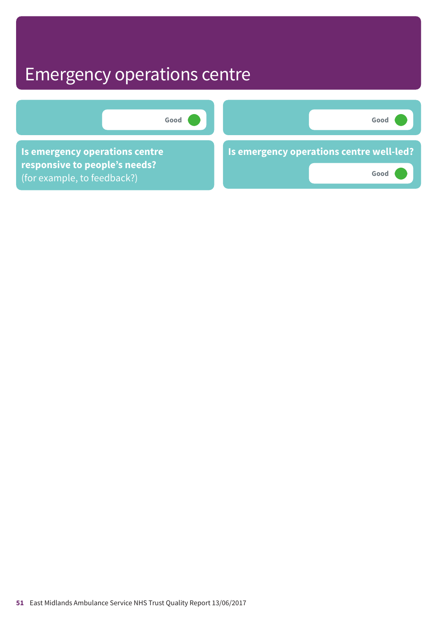

**51** East Midlands Ambulance Service NHS Trust Quality Report 13/06/2017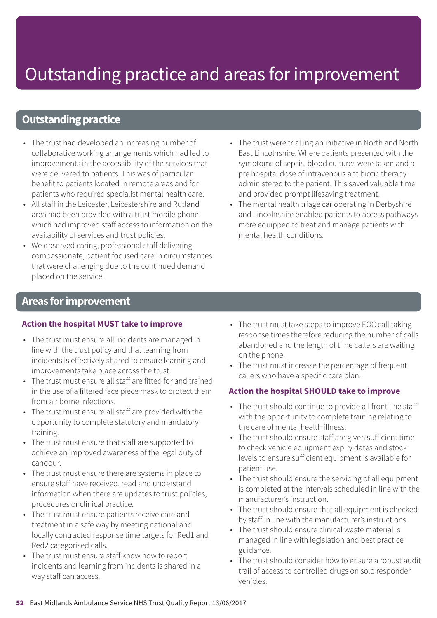# Outstanding practice and areas forimprovement

### **Outstanding practice**

- The trust had developed an increasing number of collaborative working arrangements which had led to improvements in the accessibility of the services that were delivered to patients. This was of particular benefit to patients located in remote areas and for patients who required specialist mental health care.
- All staff in the Leicester, Leicestershire and Rutland area had been provided with a trust mobile phone which had improved staff access to information on the availability of services and trust policies.
- We observed caring, professional staff delivering compassionate, patient focused care in circumstances that were challenging due to the continued demand placed on the service.
- The trust were trialling an initiative in North and North East Lincolnshire. Where patients presented with the symptoms of sepsis, blood cultures were taken and a pre hospital dose of intravenous antibiotic therapy administered to the patient. This saved valuable time and provided prompt lifesaving treatment.
- The mental health triage car operating in Derbyshire and Lincolnshire enabled patients to access pathways more equipped to treat and manage patients with mental health conditions.

#### **Areas forimprovement**

#### **Action the hospital MUST take to improve**

- The trust must ensure all incidents are managed in line with the trust policy and that learning from incidents is effectively shared to ensure learning and improvements take place across the trust.
- The trust must ensure all staff are fitted for and trained in the use of a filtered face piece mask to protect them from air borne infections.
- The trust must ensure all staff are provided with the opportunity to complete statutory and mandatory training.
- The trust must ensure that staff are supported to achieve an improved awareness of the legal duty of candour.
- The trust must ensure there are systems in place to ensure staff have received, read and understand information when there are updates to trust policies, procedures or clinical practice.
- The trust must ensure patients receive care and treatment in a safe way by meeting national and locally contracted response time targets for Red1 and Red2 categorised calls.
- The trust must ensure staff know how to report incidents and learning from incidents is shared in a way staff can access.
- The trust must take steps to improve EOC call taking response times therefore reducing the number of calls abandoned and the length of time callers are waiting on the phone.
- The trust must increase the percentage of frequent callers who have a specific care plan.

#### **Action the hospital SHOULD take to improve**

- The trust should continue to provide all front line staff with the opportunity to complete training relating to the care of mental health illness.
- The trust should ensure staff are given sufficient time to check vehicle equipment expiry dates and stock levels to ensure sufficient equipment is available for patient use.
- The trust should ensure the servicing of all equipment is completed at the intervals scheduled in line with the manufacturer's instruction.
- The trust should ensure that all equipment is checked by staff in line with the manufacturer's instructions.
- The trust should ensure clinical waste material is managed in line with legislation and best practice guidance.
- The trust should consider how to ensure a robust audit trail of access to controlled drugs on solo responder vehicles.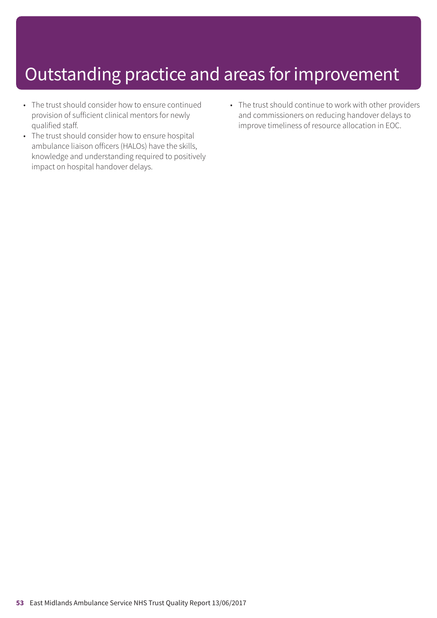# Outstanding practice and areas for improvement

- The trust should consider how to ensure continued provision of sufficient clinical mentors for newly qualified staff.
- The trust should consider how to ensure hospital ambulance liaison officers (HALOs) have the skills, knowledge and understanding required to positively impact on hospital handover delays.
- The trust should continue to work with other providers and commissioners on reducing handover delays to improve timeliness of resource allocation in EOC.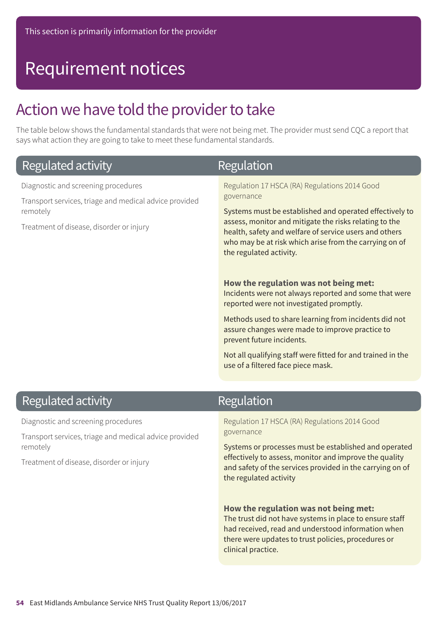### Action we have told the provider to take

The table below shows the fundamental standards that were not being met. The provider must send CQC a report that says what action they are going to take to meet these fundamental standards.

| Regulated activity                                                                                                                                    | Regulation                                                                                                                                                                                                                                                                                                                                                                                                                                                                                                                             |
|-------------------------------------------------------------------------------------------------------------------------------------------------------|----------------------------------------------------------------------------------------------------------------------------------------------------------------------------------------------------------------------------------------------------------------------------------------------------------------------------------------------------------------------------------------------------------------------------------------------------------------------------------------------------------------------------------------|
| Diagnostic and screening procedures<br>Transport services, triage and medical advice provided<br>remotely<br>Treatment of disease, disorder or injury | Regulation 17 HSCA (RA) Regulations 2014 Good<br>governance<br>Systems must be established and operated effectively to<br>assess, monitor and mitigate the risks relating to the<br>health, safety and welfare of service users and others<br>who may be at risk which arise from the carrying on of<br>the regulated activity.<br>How the regulation was not being met:<br>Incidents were not always reported and some that were<br>reported were not investigated promptly.<br>Methods used to share learning from incidents did not |
|                                                                                                                                                       | assure changes were made to improve practice to<br>prevent future incidents.                                                                                                                                                                                                                                                                                                                                                                                                                                                           |
|                                                                                                                                                       | Not all qualifying staff were fitted for and trained in the<br>use of a filtered face piece mask.                                                                                                                                                                                                                                                                                                                                                                                                                                      |
|                                                                                                                                                       |                                                                                                                                                                                                                                                                                                                                                                                                                                                                                                                                        |

### **Regulated activity**

Diagnostic and screening procedures

Transport services, triage and medical advice provided remotely

Treatment of disease, disorder or injury

### Regulation

Regulation 17 HSCA (RA) Regulations 2014 Good governance

Systems or processes must be established and operated effectively to assess, monitor and improve the quality and safety of the services provided in the carrying on of the regulated activity

#### **How the regulation was not being met:**

The trust did not have systems in place to ensure staff had received, read and understood information when there were updates to trust policies, procedures or clinical practice.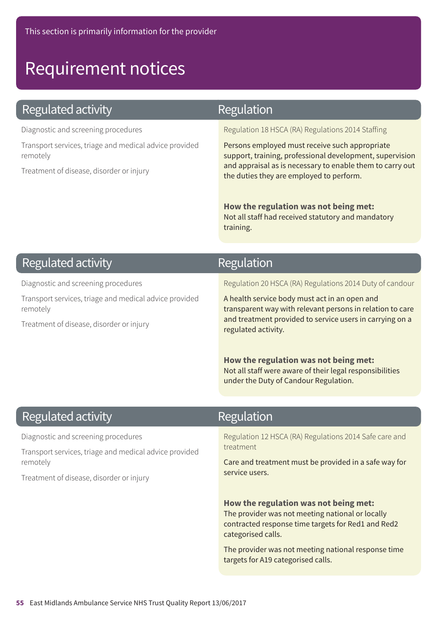### **Regulated activity**

Diagnostic and screening procedures

Transport services, triage and medical advice provided remotely

Treatment of disease, disorder or injury

### Regulation

Regulation 18 HSCA (RA) Regulations 2014 Staffing

Persons employed must receive such appropriate support, training, professional development, supervision and appraisal as is necessary to enable them to carry out the duties they are employed to perform.

**How the regulation was not being met:** Not all staff had received statutory and mandatory training.

### **Regulated activity**

Diagnostic and screening procedures

Transport services, triage and medical advice provided remotely

Treatment of disease, disorder or injury

### Regulation

Regulation 20 HSCA (RA) Regulations 2014 Duty of candour

A health service body must act in an open and transparent way with relevant persons in relation to care and treatment provided to service users in carrying on a regulated activity.

**How the regulation was not being met:** Not all staff were aware of their legal responsibilities under the Duty of Candour Regulation.

### **Regulated activity**

Diagnostic and screening procedures

Transport services, triage and medical advice provided remotely

Treatment of disease, disorder or injury

### Regulation

Regulation 12 HSCA (RA) Regulations 2014 Safe care and treatment

Care and treatment must be provided in a safe way for service users.

**How the regulation was not being met:** The provider was not meeting national or locally contracted response time targets for Red1 and Red2 categorised calls.

The provider was not meeting national response time targets for A19 categorised calls.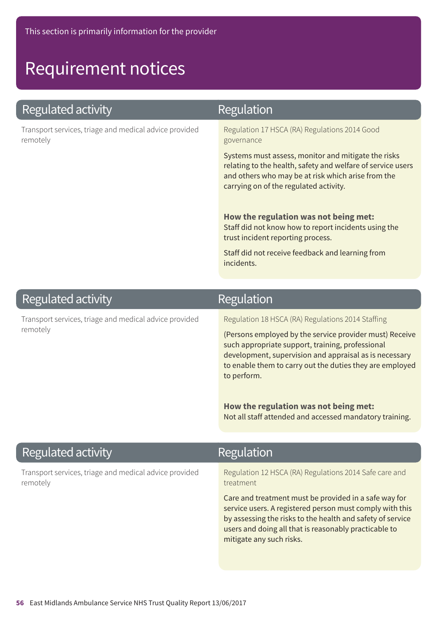### **Regulated activity**

Transport services, triage and medical advice provided remotely

### Regulation

Regulation 17 HSCA (RA) Regulations 2014 Good governance

Systems must assess, monitor and mitigate the risks relating to the health, safety and welfare of service users and others who may be at risk which arise from the carrying on of the regulated activity.

**How the regulation was not being met:** Staff did not know how to report incidents using the trust incident reporting process.

Staff did not receive feedback and learning from incidents.

### **Regulated activity**

Transport services, triage and medical advice provided remotely

### Regulation

Regulation 18 HSCA (RA) Regulations 2014 Staffing

(Persons employed by the service provider must) Receive such appropriate support, training, professional development, supervision and appraisal as is necessary to enable them to carry out the duties they are employed to perform.

**How the regulation was not being met:** Not all staff attended and accessed mandatory training.

### **Regulated activity**

Transport services, triage and medical advice provided remotely

### Regulation

Regulation 12 HSCA (RA) Regulations 2014 Safe care and treatment

Care and treatment must be provided in a safe way for service users. A registered person must comply with this by assessing the risks to the health and safety of service users and doing all that is reasonably practicable to mitigate any such risks.